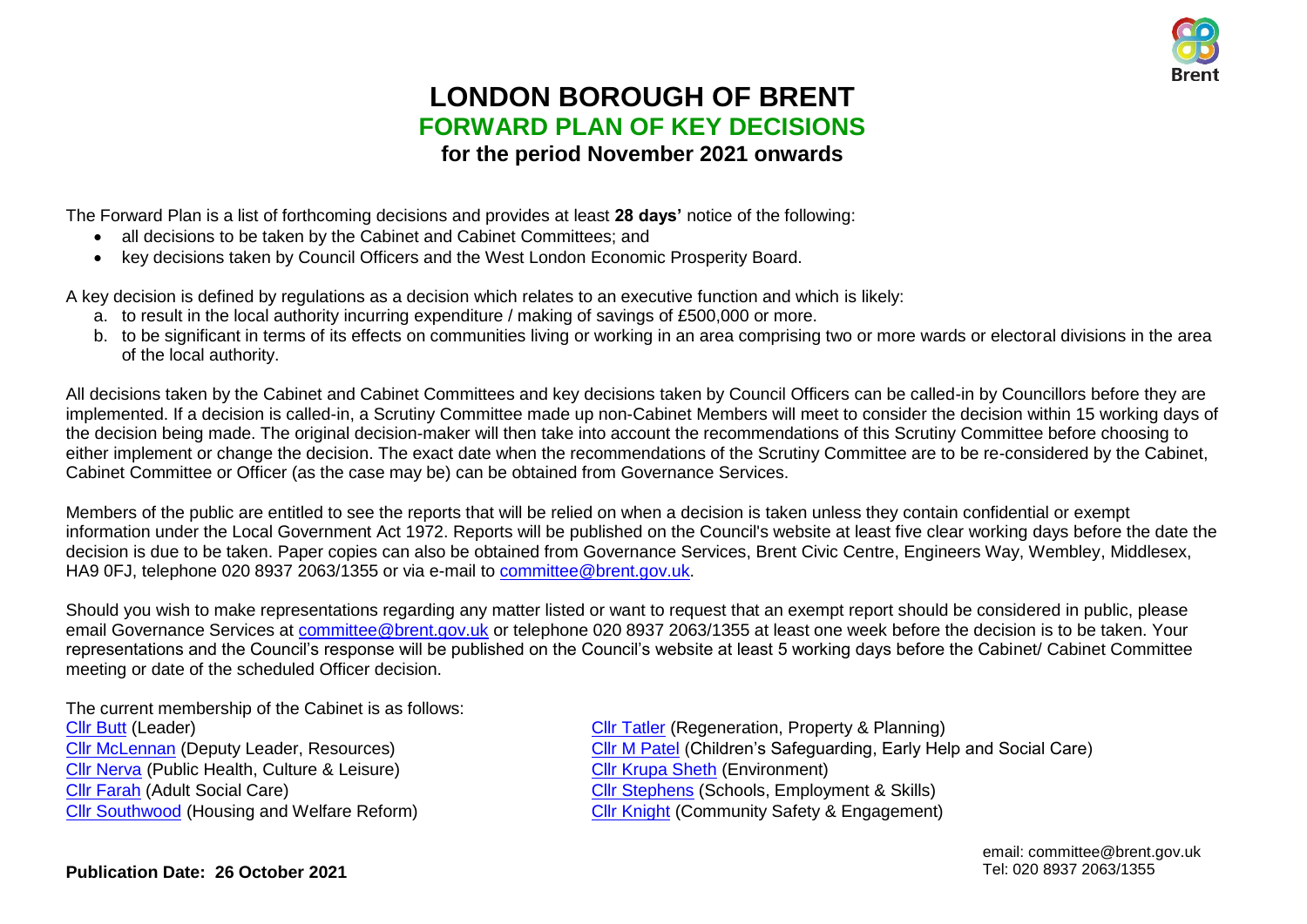

## **LONDON BOROUGH OF BRENT FORWARD PLAN OF KEY DECISIONS for the period November 2021 onwards**

The Forward Plan is a list of forthcoming decisions and provides at least **28 days'** notice of the following:

- all decisions to be taken by the Cabinet and Cabinet Committees; and
- key decisions taken by Council Officers and the West London Economic Prosperity Board.

A key decision is defined by regulations as a decision which relates to an executive function and which is likely:

- a. to result in the local authority incurring expenditure / making of savings of £500,000 or more.
- b. to be significant in terms of its effects on communities living or working in an area comprising two or more wards or electoral divisions in the area of the local authority.

All decisions taken by the Cabinet and Cabinet Committees and key decisions taken by Council Officers can be called-in by Councillors before they are implemented. If a decision is called-in, a Scrutiny Committee made up non-Cabinet Members will meet to consider the decision within 15 working days of the decision being made. The original decision-maker will then take into account the recommendations of this Scrutiny Committee before choosing to either implement or change the decision. The exact date when the recommendations of the Scrutiny Committee are to be re-considered by the Cabinet, Cabinet Committee or Officer (as the case may be) can be obtained from Governance Services.

Members of the public are entitled to see the reports that will be relied on when a decision is taken unless they contain confidential or exempt information under the Local Government Act 1972. Reports will be published on the Council's website at least five clear working days before the date the decision is due to be taken. Paper copies can also be obtained from Governance Services, Brent Civic Centre, Engineers Way, Wembley, Middlesex, HA9 0FJ, telephone 020 8937 2063/1355 or via e-mail to [committee@brent.gov.uk.](mailto:committee@brent.gov.uk)

Should you wish to make representations regarding any matter listed or want to request that an exempt report should be considered in public, please email Governance Services at [committee@brent.gov.uk](mailto:committee@brent.gov.uk) or telephone 020 8937 2063/1355 at least one week before the decision is to be taken. Your representations and the Council's response will be published on the Council's website at least 5 working days before the Cabinet/ Cabinet Committee meeting or date of the scheduled Officer decision.

The current membership of the Cabinet is as follows: [Cllr Butt](http://democracy.brent.gov.uk/mgUserInfo.aspx?UID=128) (Leader) [Cllr McLennan](http://democracy.brent.gov.uk/mgUserInfo.aspx?UID=693) (Deputy Leader, Resources) [Cllr Nerva](http://democracy.brent.gov.uk/mgUserInfo.aspx?UID=8865) (Public Health, Culture & Leisure) [Cllr Farah](http://democracy.brent.gov.uk/mgUserInfo.aspx?UID=8872) (Adult Social Care) [Cllr Southwood](http://democracy.brent.gov.uk/mgUserInfo.aspx?UID=8866) (Housing and Welfare Reform)

[Cllr Tatler](http://democracy.brent.gov.uk/mgUserInfo.aspx?UID=8853) (Regeneration, Property & Planning) [Cllr M Patel](http://democracy.brent.gov.uk/mgUserInfo.aspx?UID=8847) (Children's Safeguarding, Early Help and Social Care) [Cllr Krupa Sheth](http://democracy.brent.gov.uk/mgUserInfo.aspx?UID=3253) (Environment) [Cllr Stephens](http://democracy.brent.gov.uk/mgUserInfo.aspx?UID=12953) (Schools, Employment & Skills) [Cllr Knight](http://democracy.brent.gov.uk/mgUserInfo.aspx?UID=12943) (Community Safety & Engagement)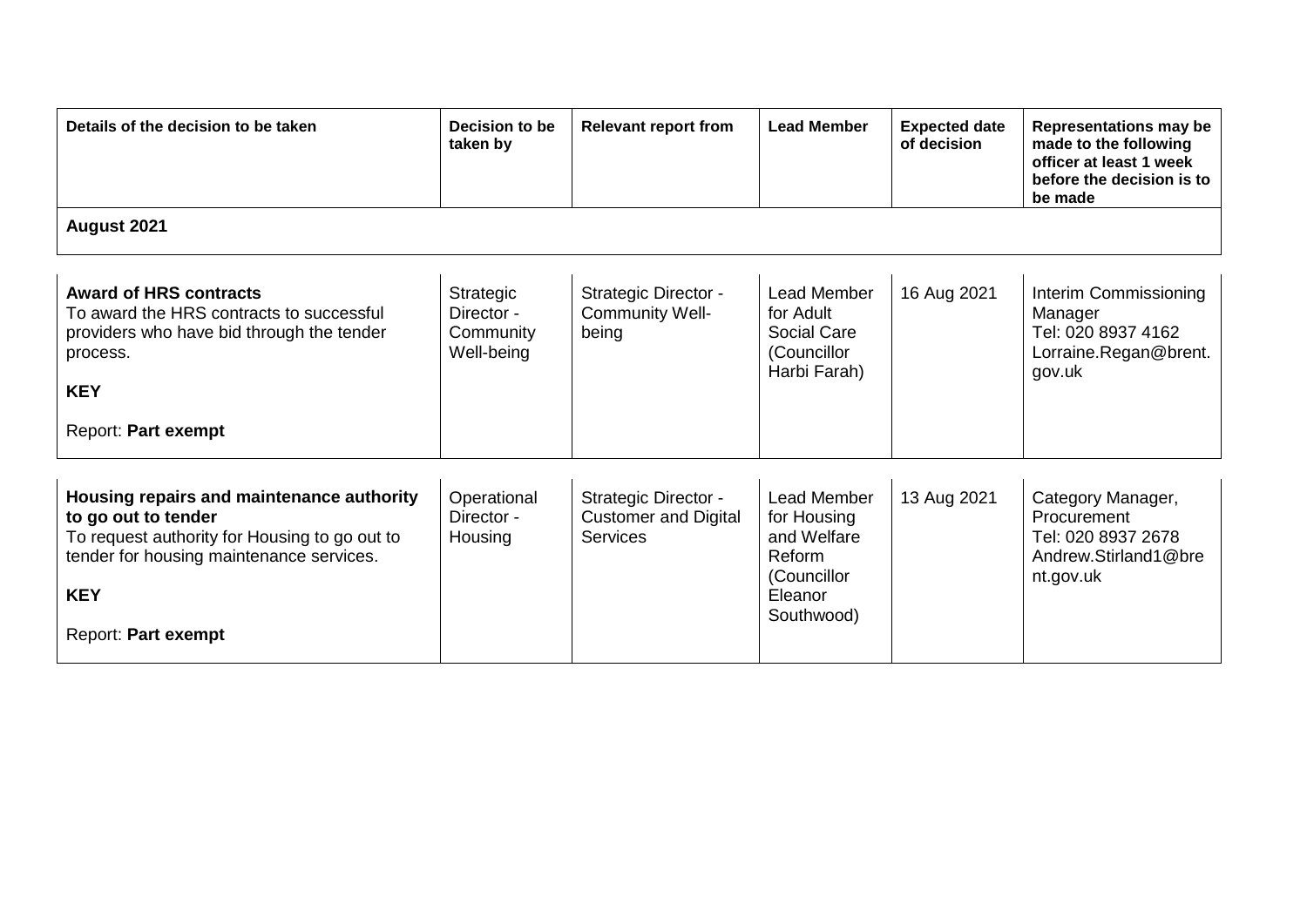| Details of the decision to be taken                                                                                                                                                                | Decision to be<br>taken by                         | <b>Relevant report from</b>                                            | <b>Lead Member</b>                                                                                 | <b>Expected date</b><br>of decision | <b>Representations may be</b><br>made to the following<br>officer at least 1 week<br>before the decision is to<br>be made |
|----------------------------------------------------------------------------------------------------------------------------------------------------------------------------------------------------|----------------------------------------------------|------------------------------------------------------------------------|----------------------------------------------------------------------------------------------------|-------------------------------------|---------------------------------------------------------------------------------------------------------------------------|
| August 2021                                                                                                                                                                                        |                                                    |                                                                        |                                                                                                    |                                     |                                                                                                                           |
| <b>Award of HRS contracts</b><br>To award the HRS contracts to successful<br>providers who have bid through the tender<br>process.<br><b>KEY</b><br>Report: Part exempt                            | Strategic<br>Director -<br>Community<br>Well-being | Strategic Director -<br><b>Community Well-</b><br>being                | <b>Lead Member</b><br>for Adult<br>Social Care<br>(Councillor<br>Harbi Farah)                      | 16 Aug 2021                         | Interim Commissioning<br>Manager<br>Tel: 020 8937 4162<br>Lorraine.Regan@brent.<br>gov.uk                                 |
| Housing repairs and maintenance authority<br>to go out to tender<br>To request authority for Housing to go out to<br>tender for housing maintenance services.<br><b>KEY</b><br>Report: Part exempt | Operational<br>Director -<br>Housing               | <b>Strategic Director -</b><br><b>Customer and Digital</b><br>Services | <b>Lead Member</b><br>for Housing<br>and Welfare<br>Reform<br>(Councillor<br>Eleanor<br>Southwood) | 13 Aug 2021                         | Category Manager,<br>Procurement<br>Tel: 020 8937 2678<br>Andrew.Stirland1@bre<br>nt.gov.uk                               |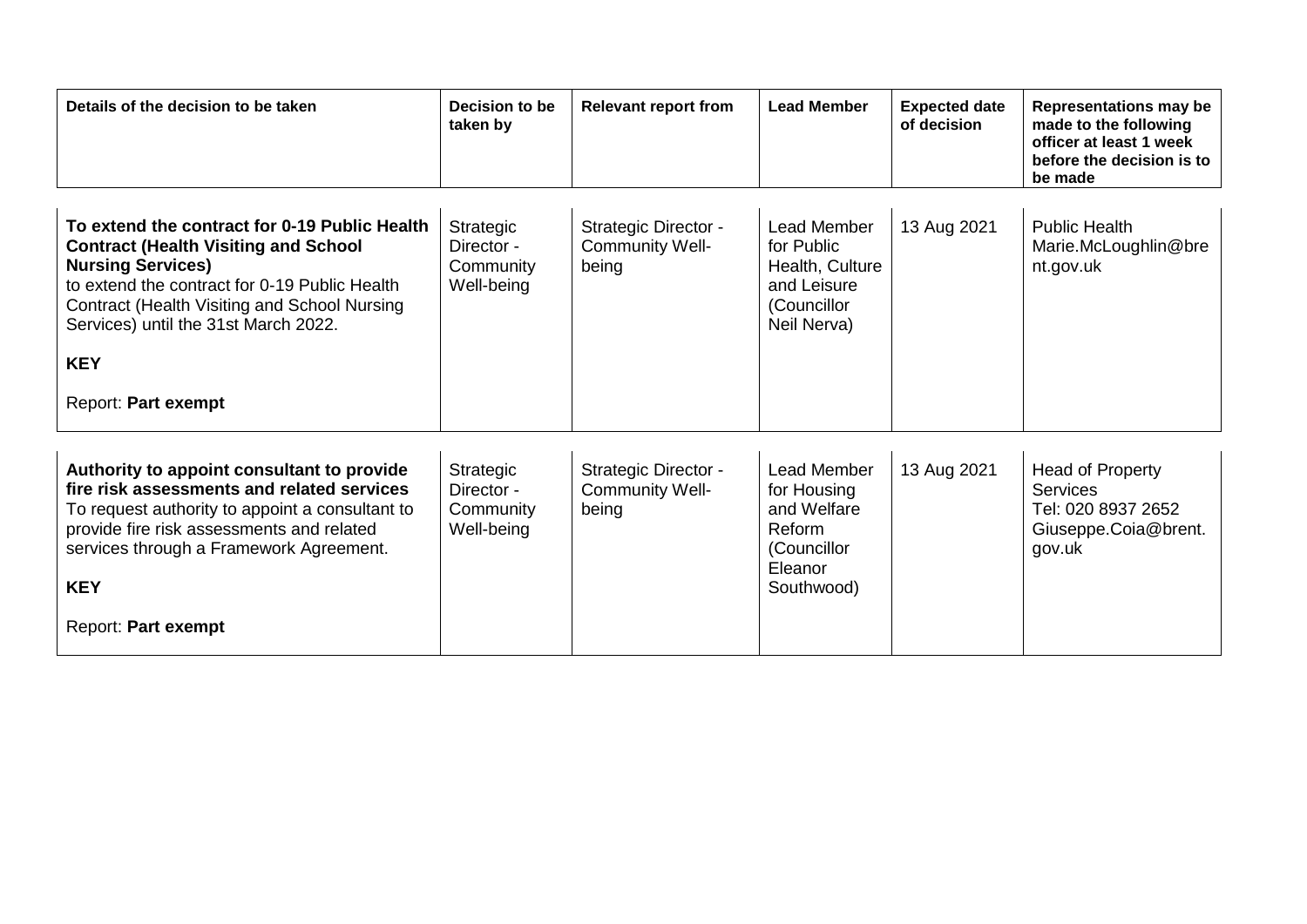| Details of the decision to be taken                                                                                                                                                                                                                                                                    | Decision to be<br>taken by                         | <b>Relevant report from</b>                             | <b>Lead Member</b>                                                                               | <b>Expected date</b><br>of decision | <b>Representations may be</b><br>made to the following<br>officer at least 1 week<br>before the decision is to<br>be made |
|--------------------------------------------------------------------------------------------------------------------------------------------------------------------------------------------------------------------------------------------------------------------------------------------------------|----------------------------------------------------|---------------------------------------------------------|--------------------------------------------------------------------------------------------------|-------------------------------------|---------------------------------------------------------------------------------------------------------------------------|
| To extend the contract for 0-19 Public Health<br><b>Contract (Health Visiting and School</b><br><b>Nursing Services)</b><br>to extend the contract for 0-19 Public Health<br>Contract (Health Visiting and School Nursing<br>Services) until the 31st March 2022.<br><b>KEY</b><br>Report: Part exempt | Strategic<br>Director -<br>Community<br>Well-being | Strategic Director -<br>Community Well-<br>being        | <b>Lead Member</b><br>for Public<br>Health, Culture<br>and Leisure<br>(Councillor<br>Neil Nerva) | 13 Aug 2021                         | <b>Public Health</b><br>Marie.McLoughlin@bre<br>nt.gov.uk                                                                 |
| Authority to appoint consultant to provide<br>fire risk assessments and related services<br>To request authority to appoint a consultant to<br>provide fire risk assessments and related<br>services through a Framework Agreement.<br><b>KEY</b><br>Report: Part exempt                               | Strategic<br>Director -<br>Community<br>Well-being | Strategic Director -<br><b>Community Well-</b><br>being | Lead Member<br>for Housing<br>and Welfare<br>Reform<br>(Councillor<br>Eleanor<br>Southwood)      | 13 Aug 2021                         | Head of Property<br><b>Services</b><br>Tel: 020 8937 2652<br>Giuseppe.Coia@brent.<br>gov.uk                               |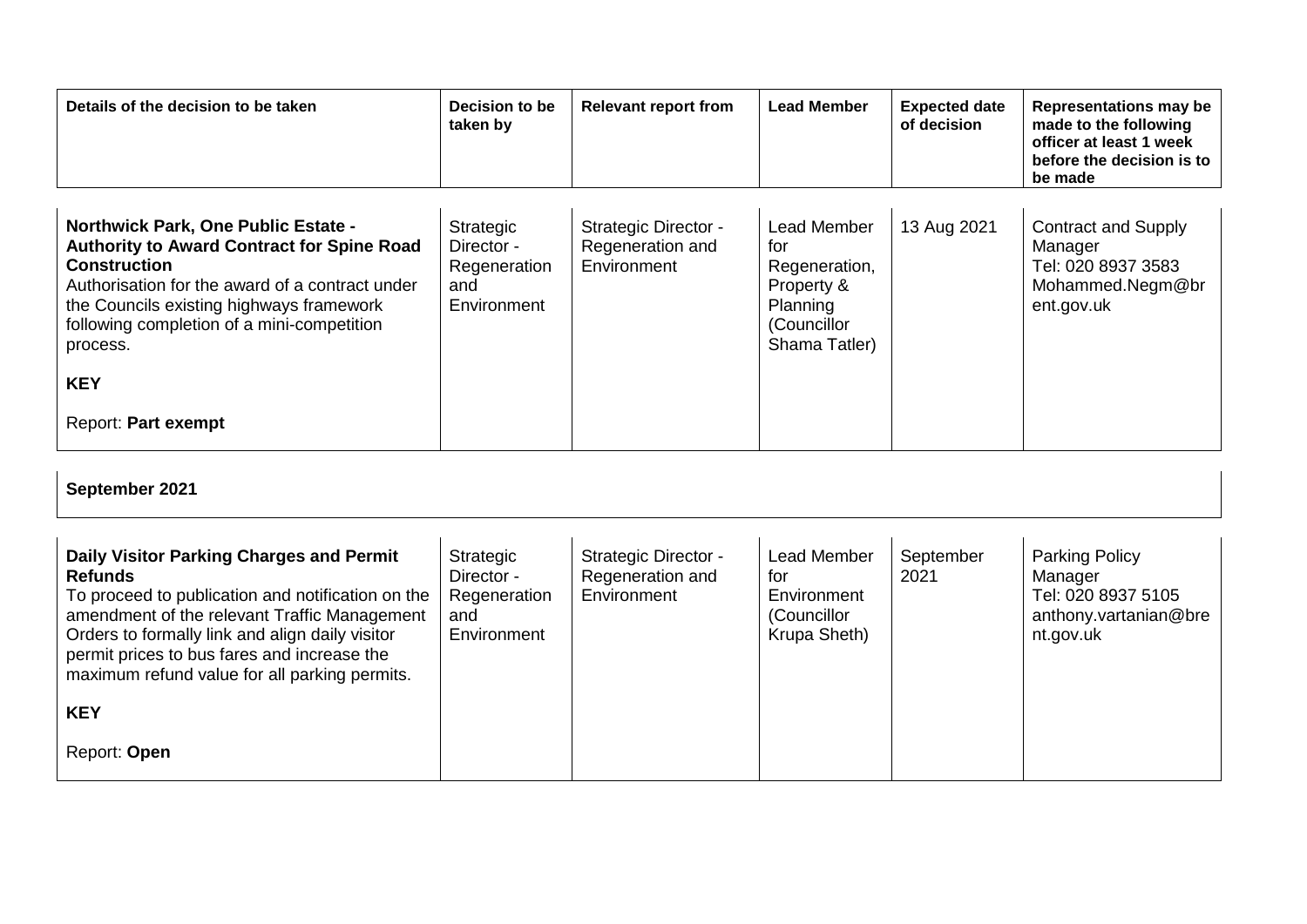| Details of the decision to be taken                                                                                                                                                                                                                                                                                  | Decision to be<br>taken by                                    | <b>Relevant report from</b>                                    | <b>Lead Member</b>                                                                            | <b>Expected date</b><br>of decision | <b>Representations may be</b><br>made to the following<br>officer at least 1 week<br>before the decision is to<br>be made |
|----------------------------------------------------------------------------------------------------------------------------------------------------------------------------------------------------------------------------------------------------------------------------------------------------------------------|---------------------------------------------------------------|----------------------------------------------------------------|-----------------------------------------------------------------------------------------------|-------------------------------------|---------------------------------------------------------------------------------------------------------------------------|
| <b>Northwick Park, One Public Estate -</b><br><b>Authority to Award Contract for Spine Road</b><br><b>Construction</b><br>Authorisation for the award of a contract under<br>the Councils existing highways framework<br>following completion of a mini-competition<br>process.<br><b>KEY</b><br>Report: Part exempt | Strategic<br>Director -<br>Regeneration<br>and<br>Environment | <b>Strategic Director -</b><br>Regeneration and<br>Environment | Lead Member<br>for<br>Regeneration,<br>Property &<br>Planning<br>(Councillor<br>Shama Tatler) | 13 Aug 2021                         | Contract and Supply<br>Manager<br>Tel: 020 8937 3583<br>Mohammed.Negm@br<br>ent.gov.uk                                    |

**September 2021**

| Daily Visitor Parking Charges and Permit<br><b>Refunds</b><br>To proceed to publication and notification on the<br>amendment of the relevant Traffic Management<br>Orders to formally link and align daily visitor<br>permit prices to bus fares and increase the<br>maximum refund value for all parking permits. | Strategic<br>Director -<br>Regeneration<br>and<br>Environment | <b>Strategic Director -</b><br>Regeneration and<br>Environment | Lead Member<br>for<br>Environment<br>(Councillor<br>Krupa Sheth) | September<br>2021 | <b>Parking Policy</b><br>Manager<br>Tel: 020 8937 5105<br>anthony.vartanian@bre<br>nt.gov.uk |
|--------------------------------------------------------------------------------------------------------------------------------------------------------------------------------------------------------------------------------------------------------------------------------------------------------------------|---------------------------------------------------------------|----------------------------------------------------------------|------------------------------------------------------------------|-------------------|----------------------------------------------------------------------------------------------|
| <b>KEY</b>                                                                                                                                                                                                                                                                                                         |                                                               |                                                                |                                                                  |                   |                                                                                              |
| Report: Open                                                                                                                                                                                                                                                                                                       |                                                               |                                                                |                                                                  |                   |                                                                                              |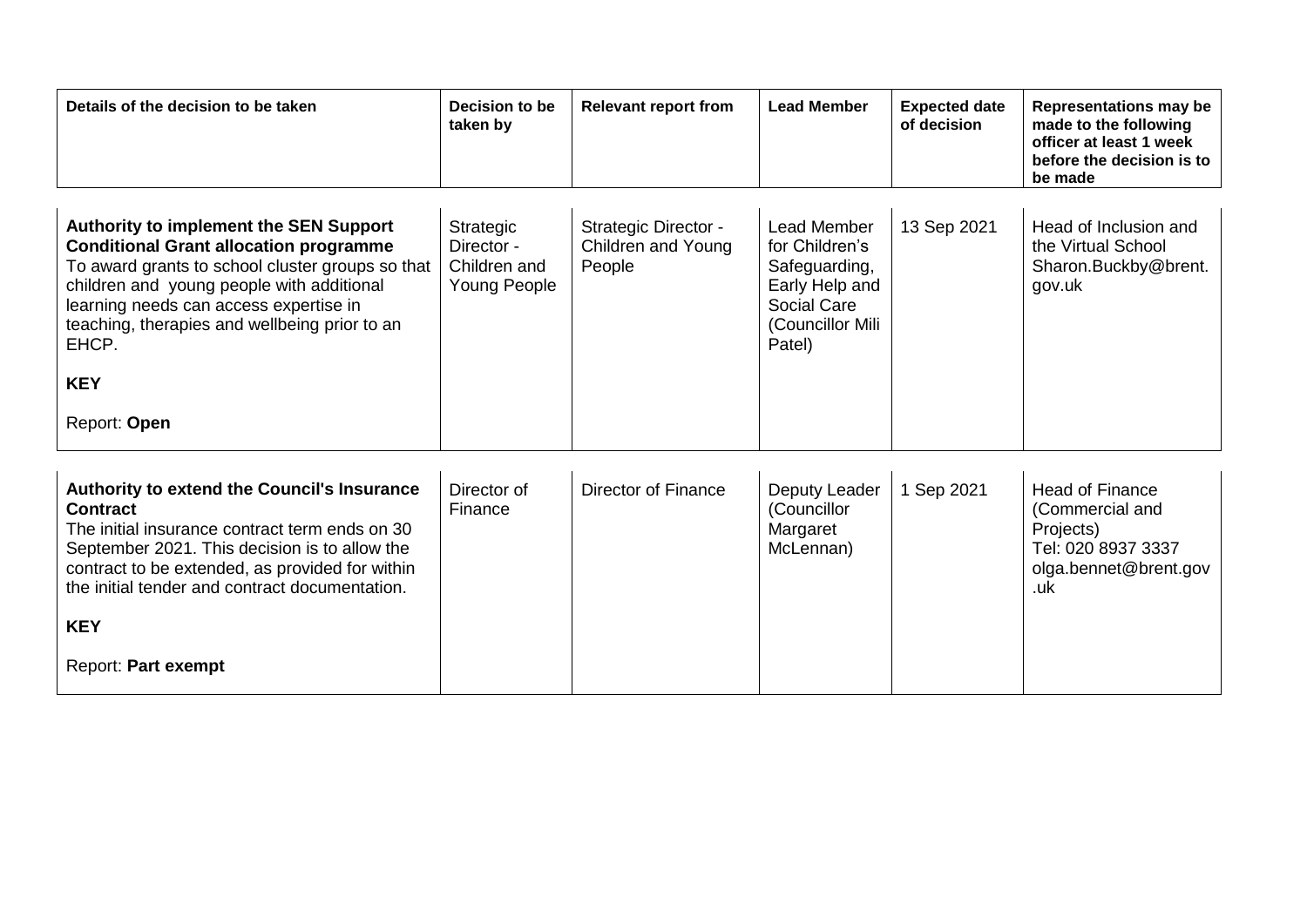| Details of the decision to be taken                                                                                                                                                                                                                                                                                               | Decision to be<br>taken by                              | <b>Relevant report from</b>                                 | <b>Lead Member</b>                                                                                                   | <b>Expected date</b><br>of decision | <b>Representations may be</b><br>made to the following<br>officer at least 1 week<br>before the decision is to<br>be made |
|-----------------------------------------------------------------------------------------------------------------------------------------------------------------------------------------------------------------------------------------------------------------------------------------------------------------------------------|---------------------------------------------------------|-------------------------------------------------------------|----------------------------------------------------------------------------------------------------------------------|-------------------------------------|---------------------------------------------------------------------------------------------------------------------------|
| <b>Authority to implement the SEN Support</b><br><b>Conditional Grant allocation programme</b><br>To award grants to school cluster groups so that<br>children and young people with additional<br>learning needs can access expertise in<br>teaching, therapies and wellbeing prior to an<br>EHCP.<br><b>KEY</b><br>Report: Open | Strategic<br>Director -<br>Children and<br>Young People | <b>Strategic Director -</b><br>Children and Young<br>People | Lead Member<br>for Children's<br>Safeguarding,<br>Early Help and<br><b>Social Care</b><br>(Councillor Mili<br>Patel) | 13 Sep 2021                         | Head of Inclusion and<br>the Virtual School<br>Sharon.Buckby@brent.<br>gov.uk                                             |
| <b>Authority to extend the Council's Insurance</b><br><b>Contract</b><br>The initial insurance contract term ends on 30<br>September 2021. This decision is to allow the<br>contract to be extended, as provided for within<br>the initial tender and contract documentation.<br><b>KEY</b><br>Report: Part exempt                | Director of<br>Finance                                  | <b>Director of Finance</b>                                  | Deputy Leader<br>(Councillor<br>Margaret<br>McLennan)                                                                | 1 Sep 2021                          | <b>Head of Finance</b><br>(Commercial and<br>Projects)<br>Tel: 020 8937 3337<br>olga.bennet@brent.gov<br>.uk              |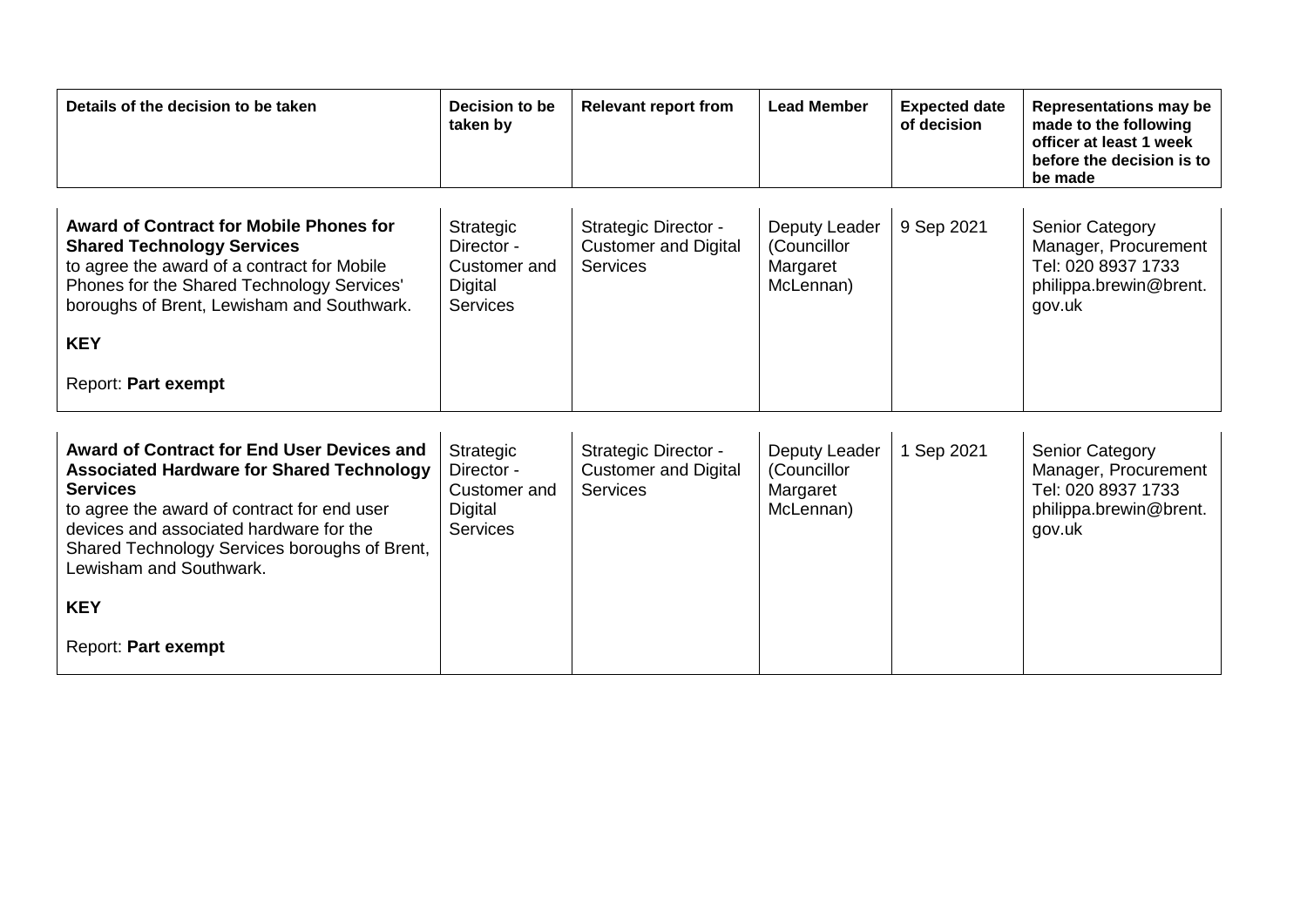| Details of the decision to be taken                                                                                                                                                                                                                                                            | Decision to be<br>taken by                                            | <b>Relevant report from</b>                                            | <b>Lead Member</b>                                    | <b>Expected date</b><br>of decision | <b>Representations may be</b><br>made to the following<br>officer at least 1 week<br>before the decision is to<br>be made |
|------------------------------------------------------------------------------------------------------------------------------------------------------------------------------------------------------------------------------------------------------------------------------------------------|-----------------------------------------------------------------------|------------------------------------------------------------------------|-------------------------------------------------------|-------------------------------------|---------------------------------------------------------------------------------------------------------------------------|
| <b>Award of Contract for Mobile Phones for</b><br><b>Shared Technology Services</b><br>to agree the award of a contract for Mobile<br>Phones for the Shared Technology Services'<br>boroughs of Brent, Lewisham and Southwark.<br><b>KEY</b><br>Report: Part exempt                            | Strategic<br>Director -<br>Customer and<br>Digital<br><b>Services</b> | Strategic Director -<br><b>Customer and Digital</b><br><b>Services</b> | Deputy Leader<br>(Councillor<br>Margaret<br>McLennan) | 9 Sep 2021                          | <b>Senior Category</b><br>Manager, Procurement<br>Tel: 020 8937 1733<br>philippa.brewin@brent.<br>gov.uk                  |
|                                                                                                                                                                                                                                                                                                |                                                                       |                                                                        |                                                       |                                     |                                                                                                                           |
| <b>Award of Contract for End User Devices and</b><br><b>Associated Hardware for Shared Technology</b><br><b>Services</b><br>to agree the award of contract for end user<br>devices and associated hardware for the<br>Shared Technology Services boroughs of Brent,<br>Lewisham and Southwark. | Strategic<br>Director -<br>Customer and<br>Digital<br>Services        | Strategic Director -<br><b>Customer and Digital</b><br>Services        | Deputy Leader<br>(Councillor<br>Margaret<br>McLennan) | 1 Sep 2021                          | Senior Category<br>Manager, Procurement<br>Tel: 020 8937 1733<br>philippa.brewin@brent.<br>gov.uk                         |
| <b>KEY</b>                                                                                                                                                                                                                                                                                     |                                                                       |                                                                        |                                                       |                                     |                                                                                                                           |
| Report: Part exempt                                                                                                                                                                                                                                                                            |                                                                       |                                                                        |                                                       |                                     |                                                                                                                           |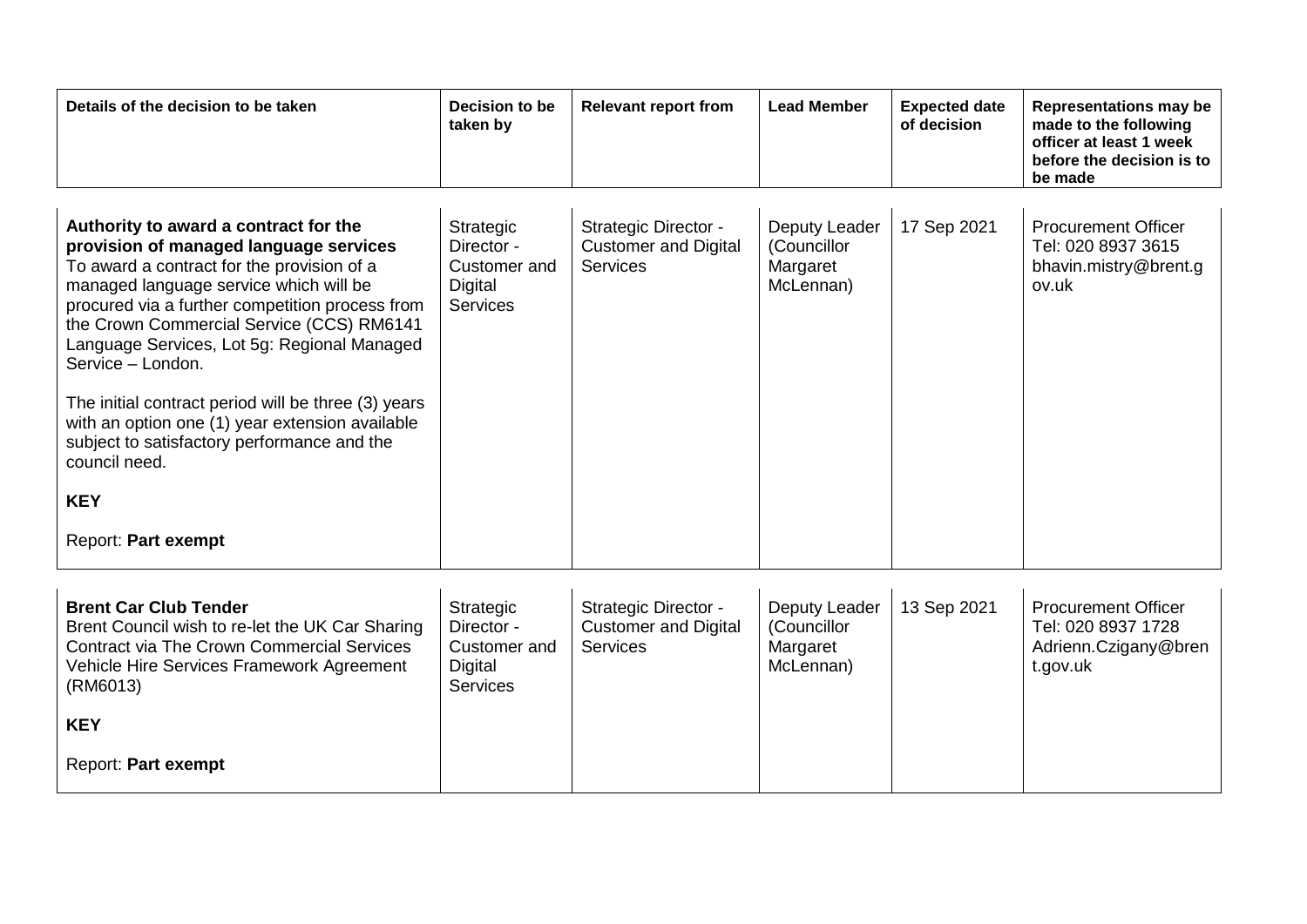| 17 Sep 2021<br><b>Strategic Director -</b><br><b>Procurement Officer</b><br>Authority to award a contract for the<br>Strategic<br>Deputy Leader<br>provision of managed language services<br><b>Customer and Digital</b><br>Director -<br>(Councillor<br>Tel: 020 8937 3615<br>To award a contract for the provision of a<br>Customer and<br>Services<br>Margaret<br>managed language service which will be<br>McLennan)<br>Digital<br>ov.uk<br>procured via a further competition process from<br>Services<br>the Crown Commercial Service (CCS) RM6141<br>Language Services, Lot 5g: Regional Managed<br>Service - London.<br>The initial contract period will be three (3) years<br>with an option one (1) year extension available<br>subject to satisfactory performance and the<br>council need.<br><b>KEY</b> | Details of the decision to be taken | Decision to be<br>taken by | <b>Relevant report from</b> | <b>Lead Member</b> | <b>Expected date</b><br>of decision | <b>Representations may be</b><br>made to the following<br>officer at least 1 week<br>before the decision is to<br>be made |
|----------------------------------------------------------------------------------------------------------------------------------------------------------------------------------------------------------------------------------------------------------------------------------------------------------------------------------------------------------------------------------------------------------------------------------------------------------------------------------------------------------------------------------------------------------------------------------------------------------------------------------------------------------------------------------------------------------------------------------------------------------------------------------------------------------------------|-------------------------------------|----------------------------|-----------------------------|--------------------|-------------------------------------|---------------------------------------------------------------------------------------------------------------------------|
|                                                                                                                                                                                                                                                                                                                                                                                                                                                                                                                                                                                                                                                                                                                                                                                                                      | Report: Part exempt                 |                            |                             |                    |                                     | bhavin.mistry@brent.g                                                                                                     |

| <b>Brent Car Club Tender</b><br>Brent Council wish to re-let the UK Car Sharing<br><b>Contract via The Crown Commercial Services</b><br>Vehicle Hire Services Framework Agreement<br>(RM6013) | Strategic<br>Director -<br>Customer and<br>Digital<br><b>Services</b> | <b>Strategic Director -</b><br><b>Customer and Digital</b><br><b>Services</b> | Deputy Leader<br>(Councillor<br>Margaret<br>McLennan) | 13 Sep 2021 | <b>Procurement Officer</b><br>Tel: 020 8937 1728<br>Adrienn.Czigany@bren<br>t.gov.uk |
|-----------------------------------------------------------------------------------------------------------------------------------------------------------------------------------------------|-----------------------------------------------------------------------|-------------------------------------------------------------------------------|-------------------------------------------------------|-------------|--------------------------------------------------------------------------------------|
| <b>KEY</b>                                                                                                                                                                                    |                                                                       |                                                                               |                                                       |             |                                                                                      |
| Report: Part exempt                                                                                                                                                                           |                                                                       |                                                                               |                                                       |             |                                                                                      |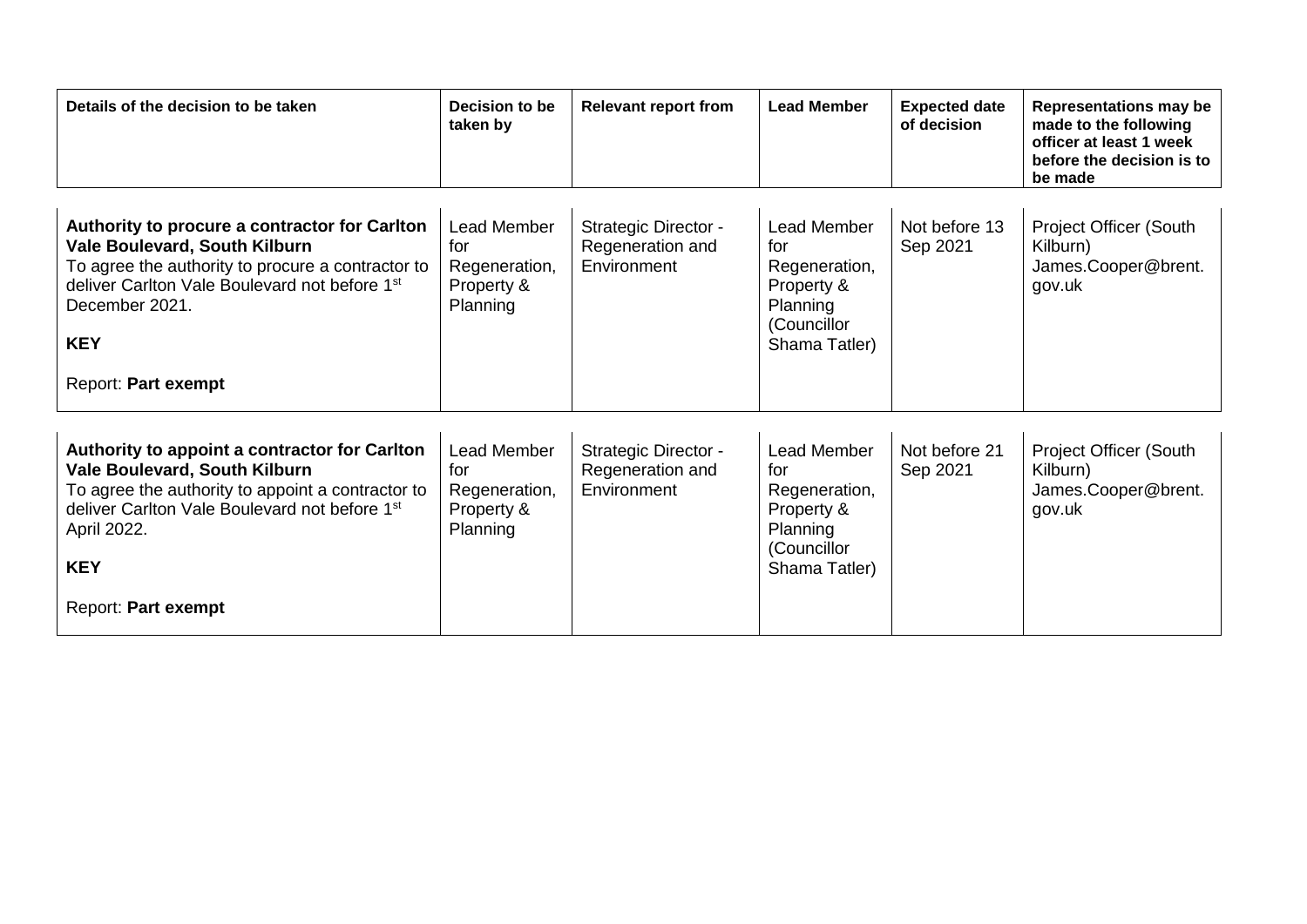| Details of the decision to be taken                                                                                                                                                                                                                         | Decision to be<br>taken by                                    | <b>Relevant report from</b>                                    | <b>Lead Member</b>                                                                            | <b>Expected date</b><br>of decision | <b>Representations may be</b><br>made to the following<br>officer at least 1 week<br>before the decision is to<br>be made |
|-------------------------------------------------------------------------------------------------------------------------------------------------------------------------------------------------------------------------------------------------------------|---------------------------------------------------------------|----------------------------------------------------------------|-----------------------------------------------------------------------------------------------|-------------------------------------|---------------------------------------------------------------------------------------------------------------------------|
| Authority to procure a contractor for Carlton<br><b>Vale Boulevard, South Kilburn</b><br>To agree the authority to procure a contractor to<br>deliver Carlton Vale Boulevard not before 1st<br>December 2021.<br><b>KEY</b><br>Report: Part exempt          | Lead Member<br>for<br>Regeneration,<br>Property &<br>Planning | <b>Strategic Director -</b><br>Regeneration and<br>Environment | Lead Member<br>for<br>Regeneration,<br>Property &<br>Planning<br>(Councillor<br>Shama Tatler) | Not before 13<br>Sep 2021           | Project Officer (South<br>Kilburn)<br>James.Cooper@brent.<br>gov.uk                                                       |
| Authority to appoint a contractor for Carlton<br><b>Vale Boulevard, South Kilburn</b><br>To agree the authority to appoint a contractor to<br>deliver Carlton Vale Boulevard not before 1 <sup>st</sup><br>April 2022.<br><b>KEY</b><br>Report: Part exempt | Lead Member<br>for<br>Regeneration,<br>Property &<br>Planning | <b>Strategic Director -</b><br>Regeneration and<br>Environment | Lead Member<br>for<br>Regeneration,<br>Property &<br>Planning<br>(Councillor<br>Shama Tatler) | Not before 21<br>Sep 2021           | Project Officer (South<br>Kilburn)<br>James.Cooper@brent.<br>gov.uk                                                       |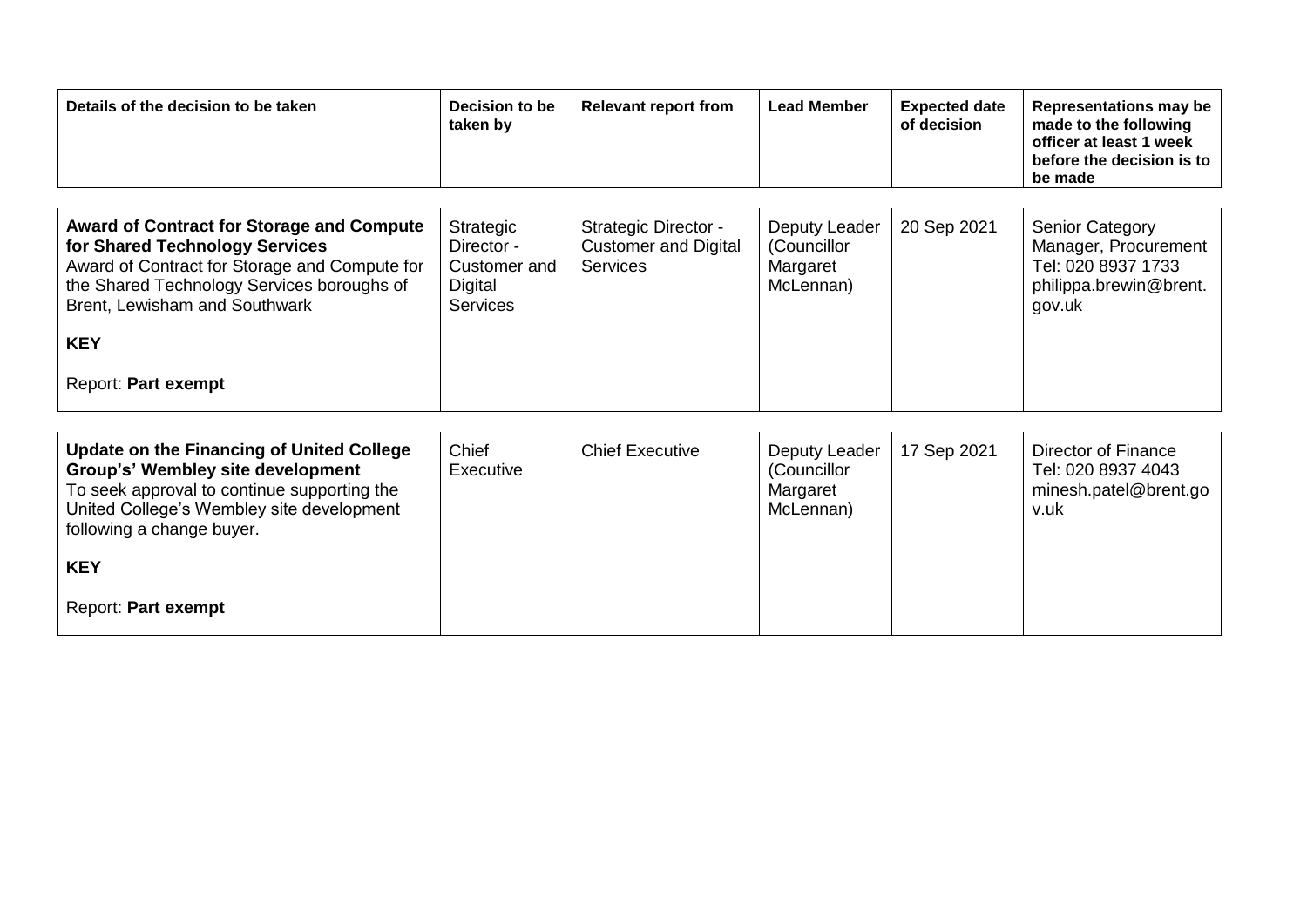| Details of the decision to be taken                                                                                                                                                                                                                     | Decision to be<br>taken by                                            | <b>Relevant report from</b>                                                   | <b>Lead Member</b>                                    | <b>Expected date</b><br>of decision | <b>Representations may be</b><br>made to the following<br>officer at least 1 week<br>before the decision is to<br>be made |
|---------------------------------------------------------------------------------------------------------------------------------------------------------------------------------------------------------------------------------------------------------|-----------------------------------------------------------------------|-------------------------------------------------------------------------------|-------------------------------------------------------|-------------------------------------|---------------------------------------------------------------------------------------------------------------------------|
| <b>Award of Contract for Storage and Compute</b><br>for Shared Technology Services<br>Award of Contract for Storage and Compute for<br>the Shared Technology Services boroughs of<br>Brent, Lewisham and Southwark<br><b>KEY</b><br>Report: Part exempt | Strategic<br>Director -<br>Customer and<br>Digital<br><b>Services</b> | <b>Strategic Director -</b><br><b>Customer and Digital</b><br><b>Services</b> | Deputy Leader<br>(Councillor<br>Margaret<br>McLennan) | 20 Sep 2021                         | <b>Senior Category</b><br>Manager, Procurement<br>Tel: 020 8937 1733<br>philippa.brewin@brent.<br>gov.uk                  |
| <b>Update on the Financing of United College</b><br>Group's' Wembley site development<br>To seek approval to continue supporting the<br>United College's Wembley site development<br>following a change buyer.<br><b>KEY</b><br>Report: Part exempt     | Chief<br>Executive                                                    | <b>Chief Executive</b>                                                        | Deputy Leader<br>(Councillor<br>Margaret<br>McLennan) | 17 Sep 2021                         | Director of Finance<br>Tel: 020 8937 4043<br>minesh.patel@brent.go<br>v.uk                                                |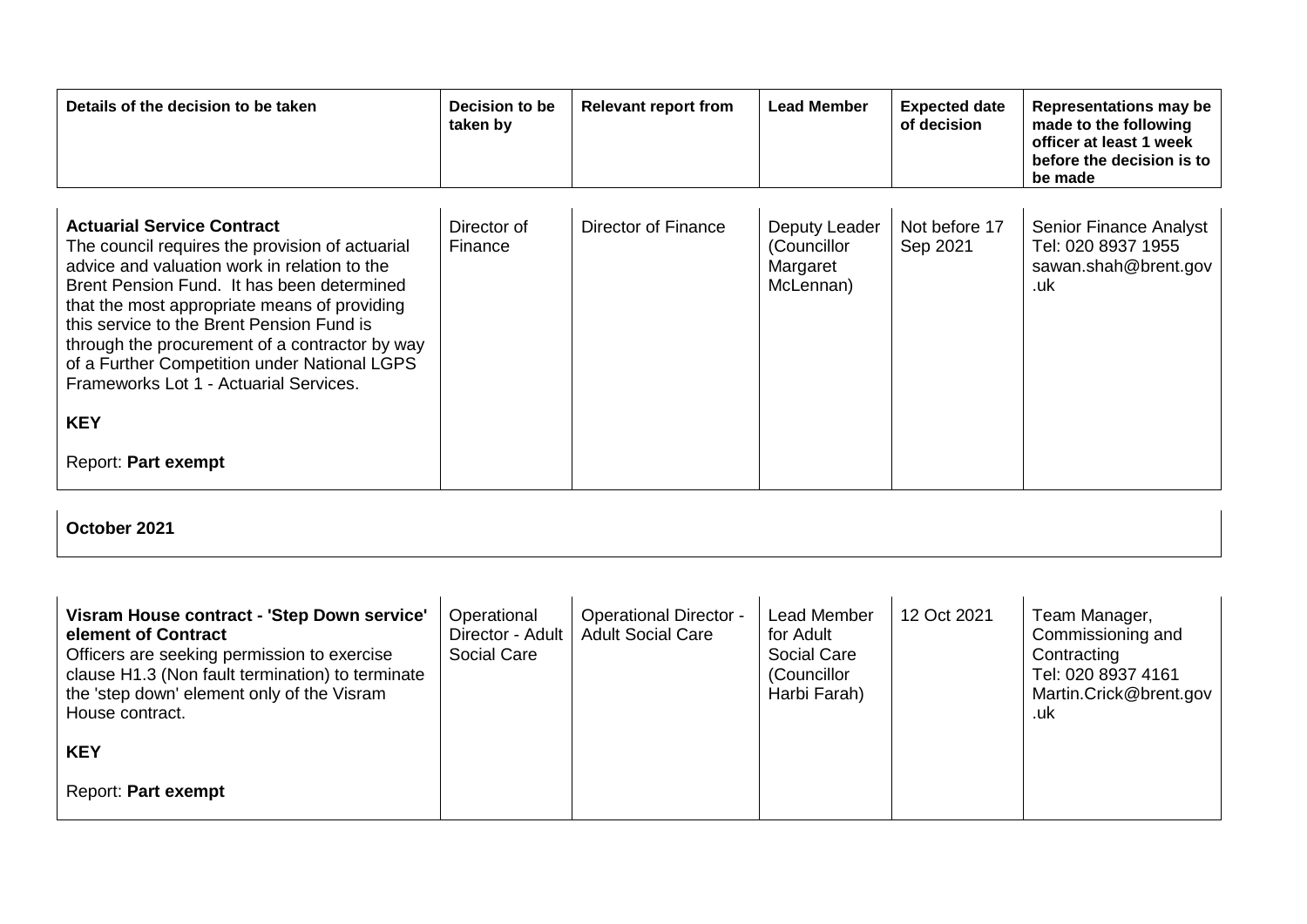| Details of the decision to be taken                                                                                                                                                                                                                                                                                                                                                                                                                              | Decision to be<br>taken by | <b>Relevant report from</b> | <b>Lead Member</b>                                    | <b>Expected date</b><br>of decision | <b>Representations may be</b><br>made to the following<br>officer at least 1 week<br>before the decision is to<br>be made |
|------------------------------------------------------------------------------------------------------------------------------------------------------------------------------------------------------------------------------------------------------------------------------------------------------------------------------------------------------------------------------------------------------------------------------------------------------------------|----------------------------|-----------------------------|-------------------------------------------------------|-------------------------------------|---------------------------------------------------------------------------------------------------------------------------|
| <b>Actuarial Service Contract</b><br>The council requires the provision of actuarial<br>advice and valuation work in relation to the<br>Brent Pension Fund. It has been determined<br>that the most appropriate means of providing<br>this service to the Brent Pension Fund is<br>through the procurement of a contractor by way<br>of a Further Competition under National LGPS<br>Frameworks Lot 1 - Actuarial Services.<br><b>KEY</b><br>Report: Part exempt | Director of<br>Finance     | Director of Finance         | Deputy Leader<br>(Councillor<br>Margaret<br>McLennan) | Not before 17<br>Sep 2021           | <b>Senior Finance Analyst</b><br>Tel: 020 8937 1955<br>sawan.shah@brent.gov<br>.uk                                        |

## **October 2021**

| Visram House contract - 'Step Down service'<br>element of Contract<br>Officers are seeking permission to exercise<br>clause H1.3 (Non fault termination) to terminate<br>the 'step down' element only of the Visram<br>House contract. | Operational<br>Director - Adult  <br>Social Care | <b>Operational Director -</b><br><b>Adult Social Care</b> | Lead Member<br>for Adult<br>Social Care<br>(Councillor<br>Harbi Farah) | 12 Oct 2021 | Team Manager,<br>Commissioning and<br>Contracting<br>Tel: 020 8937 4161<br>Martin.Crick@brent.gov<br>.uk |
|----------------------------------------------------------------------------------------------------------------------------------------------------------------------------------------------------------------------------------------|--------------------------------------------------|-----------------------------------------------------------|------------------------------------------------------------------------|-------------|----------------------------------------------------------------------------------------------------------|
| <b>KEY</b>                                                                                                                                                                                                                             |                                                  |                                                           |                                                                        |             |                                                                                                          |
| Report: Part exempt                                                                                                                                                                                                                    |                                                  |                                                           |                                                                        |             |                                                                                                          |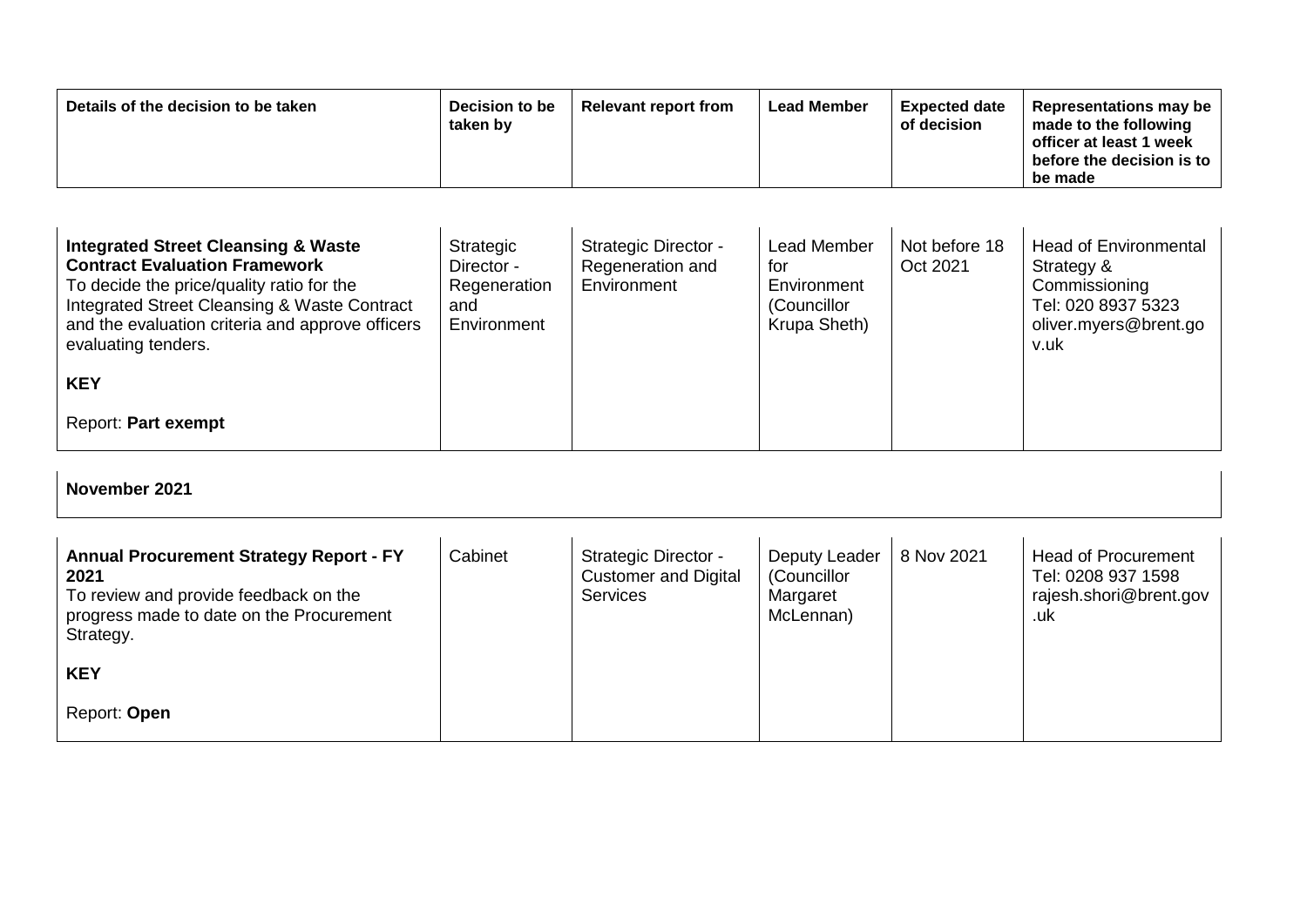| Details of the decision to be taken | Decision to be<br>taken by | <b>Relevant report from</b> | <b>Lead Member</b> | <b>Expected date</b><br>of decision | <b>Representations may be</b><br>made to the following<br>officer at least 1 week<br>before the decision is to<br>be made |
|-------------------------------------|----------------------------|-----------------------------|--------------------|-------------------------------------|---------------------------------------------------------------------------------------------------------------------------|
|-------------------------------------|----------------------------|-----------------------------|--------------------|-------------------------------------|---------------------------------------------------------------------------------------------------------------------------|

| <b>Integrated Street Cleansing &amp; Waste</b><br><b>Contract Evaluation Framework</b><br>To decide the price/quality ratio for the<br>Integrated Street Cleansing & Waste Contract<br>and the evaluation criteria and approve officers<br>evaluating tenders. | Strategic<br>Director -<br>Regeneration<br>and<br>Environment | <b>Strategic Director -</b><br>Regeneration and<br>Environment | Lead Member<br>for<br>Environment<br>(Councillor<br>Krupa Sheth) | Not before 18<br>Oct 2021 | <b>Head of Environmental</b><br>Strategy &<br>Commissioning<br>Tel: 020 8937 5323<br>oliver.myers@brent.go<br>v.uk |
|----------------------------------------------------------------------------------------------------------------------------------------------------------------------------------------------------------------------------------------------------------------|---------------------------------------------------------------|----------------------------------------------------------------|------------------------------------------------------------------|---------------------------|--------------------------------------------------------------------------------------------------------------------|
| <b>KEY</b>                                                                                                                                                                                                                                                     |                                                               |                                                                |                                                                  |                           |                                                                                                                    |
| Report: Part exempt                                                                                                                                                                                                                                            |                                                               |                                                                |                                                                  |                           |                                                                                                                    |

## **November 2021**

| <b>Annual Procurement Strategy Report - FY</b><br>2021<br>To review and provide feedback on the<br>progress made to date on the Procurement<br>Strategy. | Cabinet | <b>Strategic Director -</b><br><b>Customer and Digital</b><br>Services | Deputy Leader<br>(Councillor<br>Margaret<br>McLennan) | 8 Nov 2021 | <b>Head of Procurement</b><br>Tel: 0208 937 1598<br>rajesh.shori@brent.gov<br>.uk |
|----------------------------------------------------------------------------------------------------------------------------------------------------------|---------|------------------------------------------------------------------------|-------------------------------------------------------|------------|-----------------------------------------------------------------------------------|
| <b>KEY</b>                                                                                                                                               |         |                                                                        |                                                       |            |                                                                                   |
| Report: Open                                                                                                                                             |         |                                                                        |                                                       |            |                                                                                   |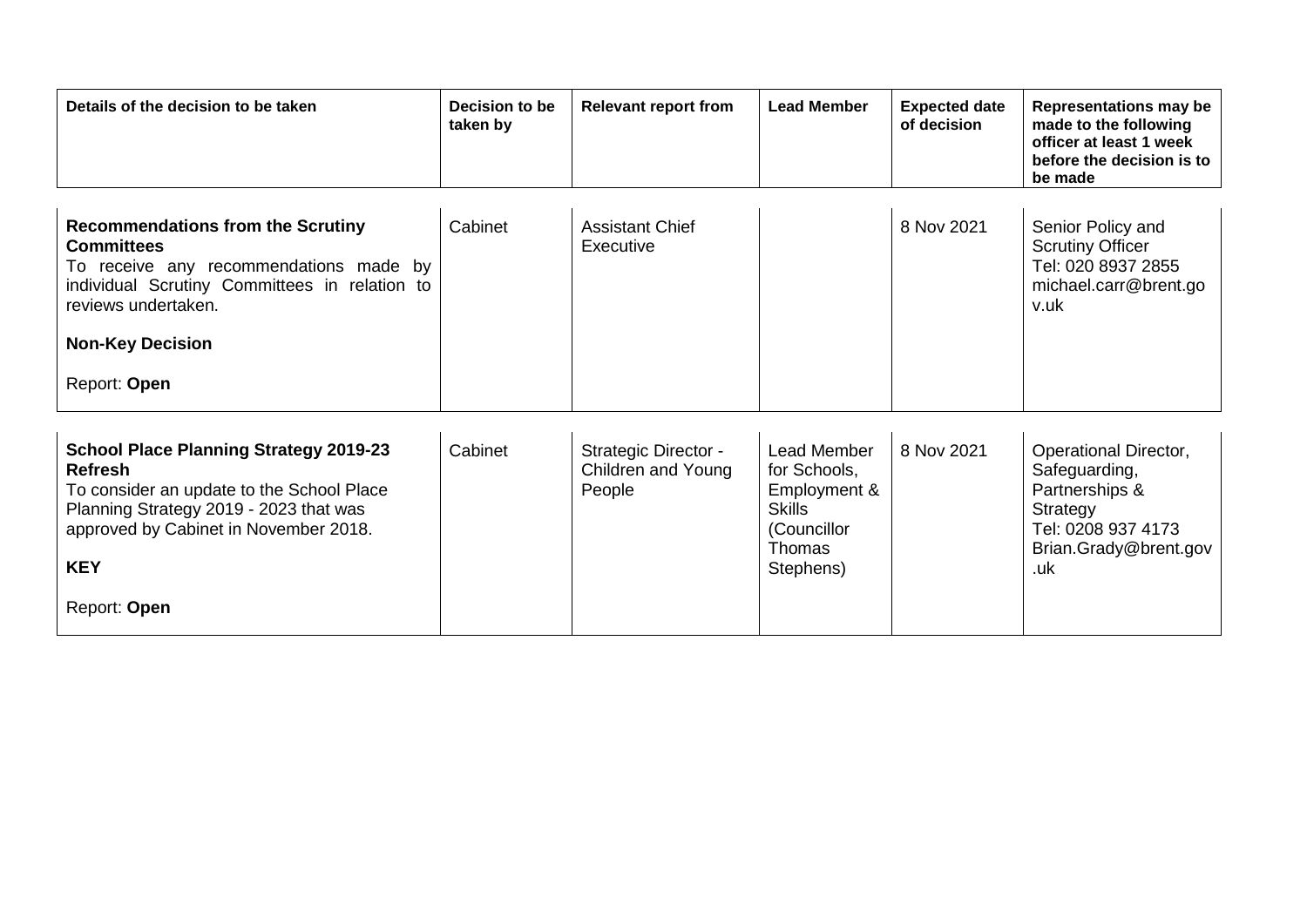| Details of the decision to be taken | Decision to be<br>taken bv | <b>Relevant report from</b> | <b>Lead Member</b> | <b>Expected date</b><br>of decision | <b>Representations may be</b><br>made to the following<br>officer at least 1 week<br>before the decision is to<br>be made |
|-------------------------------------|----------------------------|-----------------------------|--------------------|-------------------------------------|---------------------------------------------------------------------------------------------------------------------------|
|-------------------------------------|----------------------------|-----------------------------|--------------------|-------------------------------------|---------------------------------------------------------------------------------------------------------------------------|

| <b>Recommendations from the Scrutiny</b><br><b>Committees</b><br>To receive any recommendations made by<br>individual Scrutiny Committees in relation to<br>reviews undertaken. | Cabinet | <b>Assistant Chief</b><br>Executive | 8 Nov 2021 | Senior Policy and<br><b>Scrutiny Officer</b><br>Tel: 020 8937 2855<br>michael.carr@brent.go<br>v.uk |
|---------------------------------------------------------------------------------------------------------------------------------------------------------------------------------|---------|-------------------------------------|------------|-----------------------------------------------------------------------------------------------------|
| <b>Non-Key Decision</b>                                                                                                                                                         |         |                                     |            |                                                                                                     |
| Report: Open                                                                                                                                                                    |         |                                     |            |                                                                                                     |

| <b>School Place Planning Strategy 2019-23</b><br><b>Refresh</b><br>To consider an update to the School Place<br>Planning Strategy 2019 - 2023 that was<br>approved by Cabinet in November 2018.<br><b>KEY</b><br>Report: Open | Cabinet | <b>Strategic Director -</b><br>Children and Young<br>People | Lead Member<br>for Schools,<br>Employment &<br><b>Skills</b><br>(Councillor<br><b>Thomas</b><br>Stephens) | 8 Nov 2021 | <b>Operational Director,</b><br>Safeguarding,<br>Partnerships &<br>Strategy<br>Tel: 0208 937 4173<br>Brian.Grady@brent.gov<br>.uk |
|-------------------------------------------------------------------------------------------------------------------------------------------------------------------------------------------------------------------------------|---------|-------------------------------------------------------------|-----------------------------------------------------------------------------------------------------------|------------|-----------------------------------------------------------------------------------------------------------------------------------|
|-------------------------------------------------------------------------------------------------------------------------------------------------------------------------------------------------------------------------------|---------|-------------------------------------------------------------|-----------------------------------------------------------------------------------------------------------|------------|-----------------------------------------------------------------------------------------------------------------------------------|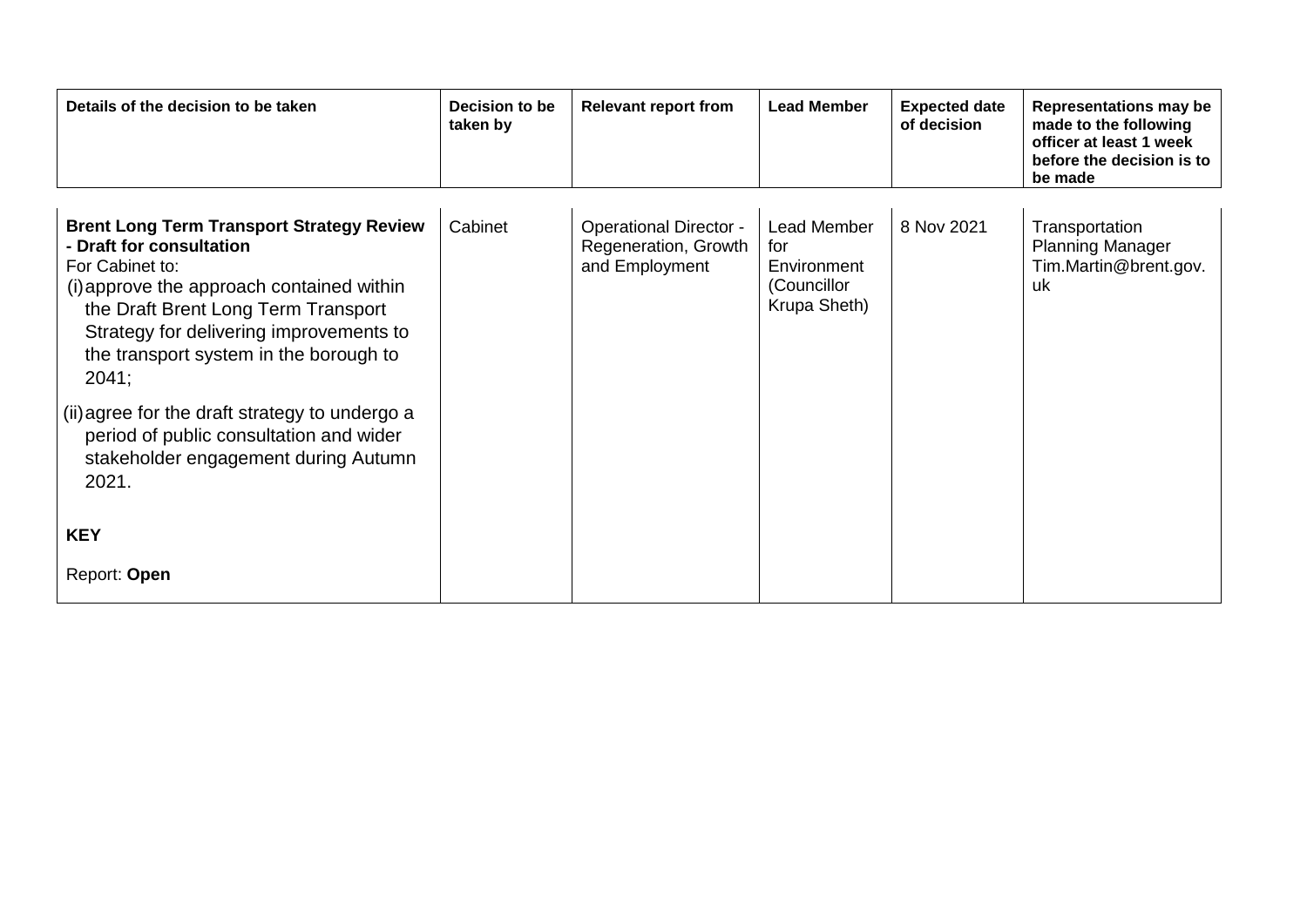| Details of the decision to be taken                                                                                                                                                                                                                                                                                                                                                                                             | Decision to be<br>taken by | <b>Relevant report from</b>                                             | <b>Lead Member</b>                                               | <b>Expected date</b><br>of decision | <b>Representations may be</b><br>made to the following<br>officer at least 1 week<br>before the decision is to<br>be made |
|---------------------------------------------------------------------------------------------------------------------------------------------------------------------------------------------------------------------------------------------------------------------------------------------------------------------------------------------------------------------------------------------------------------------------------|----------------------------|-------------------------------------------------------------------------|------------------------------------------------------------------|-------------------------------------|---------------------------------------------------------------------------------------------------------------------------|
| <b>Brent Long Term Transport Strategy Review</b><br>- Draft for consultation<br>For Cabinet to:<br>(i) approve the approach contained within<br>the Draft Brent Long Term Transport<br>Strategy for delivering improvements to<br>the transport system in the borough to<br>2041;<br>(ii) agree for the draft strategy to undergo a<br>period of public consultation and wider<br>stakeholder engagement during Autumn<br>2021. | Cabinet                    | <b>Operational Director -</b><br>Regeneration, Growth<br>and Employment | Lead Member<br>for<br>Environment<br>(Councillor<br>Krupa Sheth) | 8 Nov 2021                          | Transportation<br><b>Planning Manager</b><br>Tim.Martin@brent.gov.<br>uk                                                  |
| <b>KEY</b>                                                                                                                                                                                                                                                                                                                                                                                                                      |                            |                                                                         |                                                                  |                                     |                                                                                                                           |
| Report: Open                                                                                                                                                                                                                                                                                                                                                                                                                    |                            |                                                                         |                                                                  |                                     |                                                                                                                           |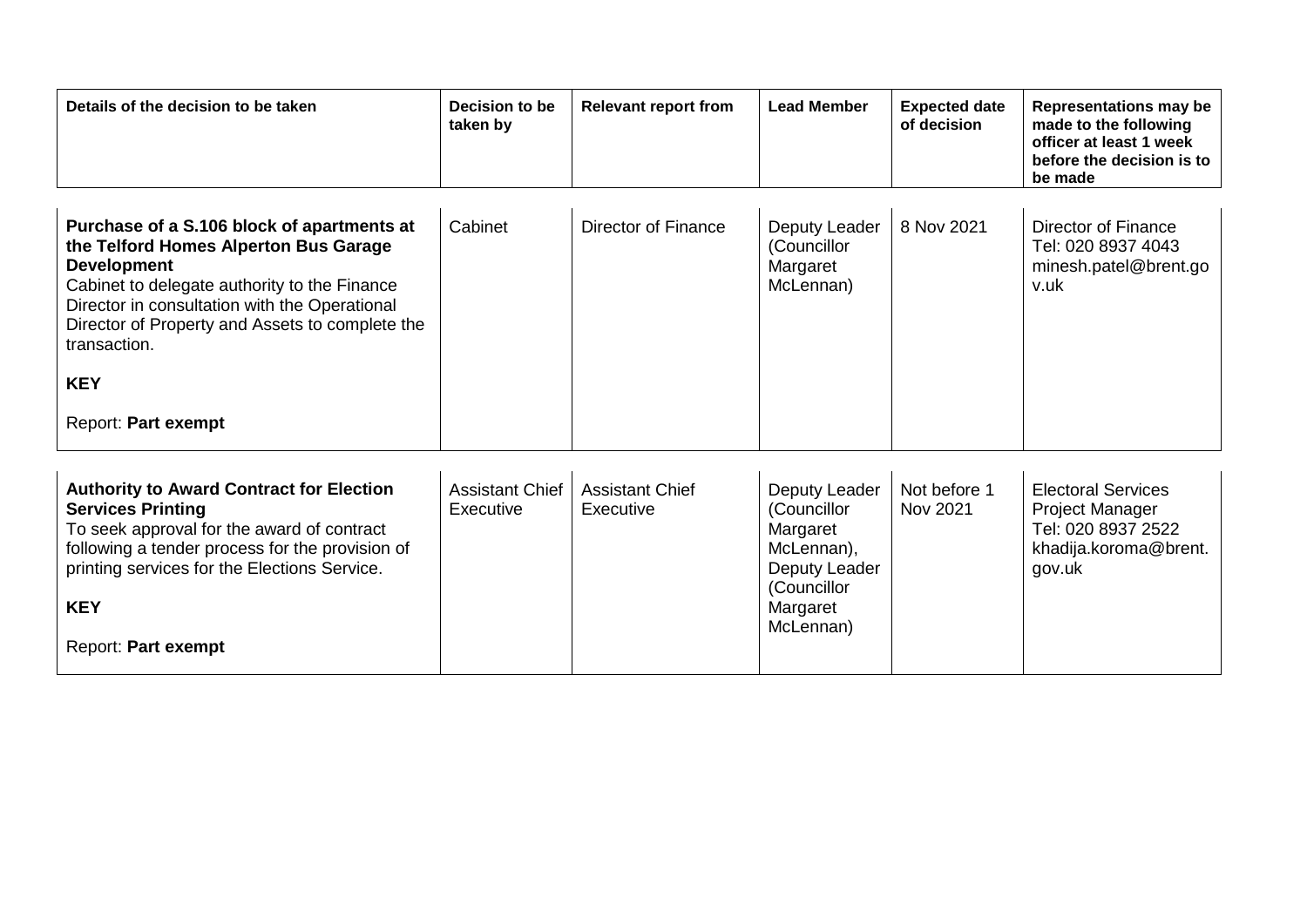| Details of the decision to be taken | Decision to be<br>taken bv | <b>Relevant report from</b> | <b>Lead Member</b> | <b>Expected date</b><br>of decision | <b>Representations may be</b><br>made to the following<br>officer at least 1 week<br>before the decision is to<br>be made |
|-------------------------------------|----------------------------|-----------------------------|--------------------|-------------------------------------|---------------------------------------------------------------------------------------------------------------------------|
|-------------------------------------|----------------------------|-----------------------------|--------------------|-------------------------------------|---------------------------------------------------------------------------------------------------------------------------|

| Purchase of a S.106 block of apartments at<br>the Telford Homes Alperton Bus Garage<br><b>Development</b><br>Cabinet to delegate authority to the Finance<br>Director in consultation with the Operational<br>Director of Property and Assets to complete the<br>transaction. | Cabinet | Director of Finance | Deputy Leader<br>(Councillor<br>Margaret<br>McLennan) | 8 Nov 2021 | Director of Finance<br>Tel: 020 8937 4043<br>minesh.patel@brent.go<br>v.uk |
|-------------------------------------------------------------------------------------------------------------------------------------------------------------------------------------------------------------------------------------------------------------------------------|---------|---------------------|-------------------------------------------------------|------------|----------------------------------------------------------------------------|
| <b>KEY</b>                                                                                                                                                                                                                                                                    |         |                     |                                                       |            |                                                                            |
| Report: Part exempt                                                                                                                                                                                                                                                           |         |                     |                                                       |            |                                                                            |

| <b>Authority to Award Contract for Election</b><br><b>Services Printing</b><br>To seek approval for the award of contract<br>following a tender process for the provision of<br>printing services for the Elections Service.<br><b>KEY</b><br>Report: Part exempt | <b>Assistant Chief</b><br>Executive | <b>Assistant Chief</b><br>Executive | Deputy Leader<br>(Councillor<br>Margaret<br>McLennan),<br>Deputy Leader<br>(Councillor<br>Margaret<br>McLennan) | Not before 1<br>Nov 2021 | <b>Electoral Services</b><br><b>Project Manager</b><br>Tel: 020 8937 2522<br>khadija.koroma@brent.<br>gov.uk |
|-------------------------------------------------------------------------------------------------------------------------------------------------------------------------------------------------------------------------------------------------------------------|-------------------------------------|-------------------------------------|-----------------------------------------------------------------------------------------------------------------|--------------------------|--------------------------------------------------------------------------------------------------------------|
|-------------------------------------------------------------------------------------------------------------------------------------------------------------------------------------------------------------------------------------------------------------------|-------------------------------------|-------------------------------------|-----------------------------------------------------------------------------------------------------------------|--------------------------|--------------------------------------------------------------------------------------------------------------|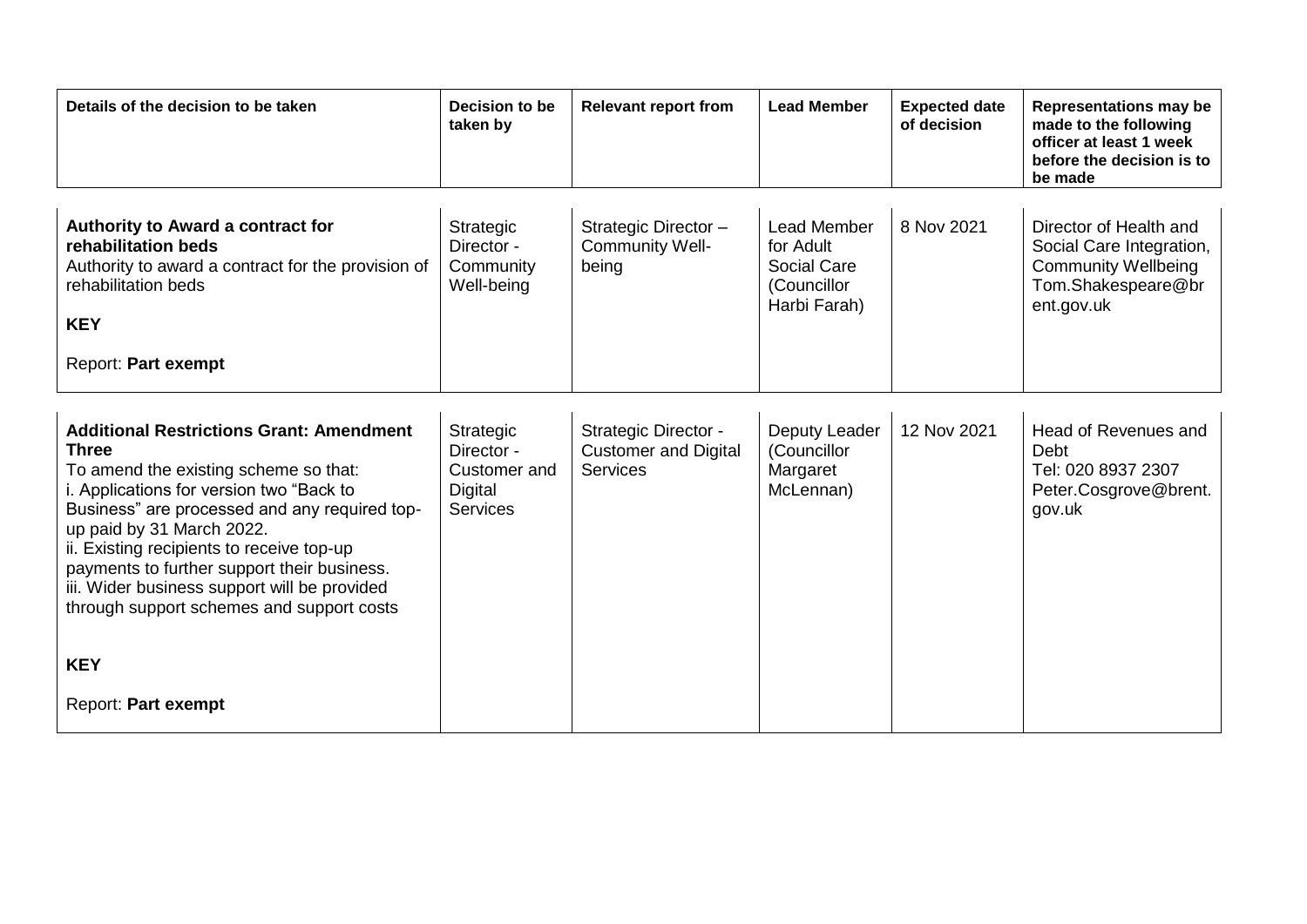| Details of the decision to be taken                                                                                                                                                                                                                                                                                                                                                                                         | Decision to be<br>taken by                                            | <b>Relevant report from</b>                                            | <b>Lead Member</b>                                                            | <b>Expected date</b><br>of decision | <b>Representations may be</b><br>made to the following<br>officer at least 1 week<br>before the decision is to<br>be made |
|-----------------------------------------------------------------------------------------------------------------------------------------------------------------------------------------------------------------------------------------------------------------------------------------------------------------------------------------------------------------------------------------------------------------------------|-----------------------------------------------------------------------|------------------------------------------------------------------------|-------------------------------------------------------------------------------|-------------------------------------|---------------------------------------------------------------------------------------------------------------------------|
| Authority to Award a contract for<br>rehabilitation beds<br>Authority to award a contract for the provision of<br>rehabilitation beds<br><b>KEY</b>                                                                                                                                                                                                                                                                         | <b>Strategic</b><br>Director -<br>Community<br>Well-being             | Strategic Director -<br>Community Well-<br>being                       | <b>Lead Member</b><br>for Adult<br>Social Care<br>(Councillor<br>Harbi Farah) | 8 Nov 2021                          | Director of Health and<br>Social Care Integration,<br><b>Community Wellbeing</b><br>Tom.Shakespeare@br<br>ent.gov.uk      |
| Report: Part exempt                                                                                                                                                                                                                                                                                                                                                                                                         |                                                                       |                                                                        |                                                                               |                                     |                                                                                                                           |
| <b>Additional Restrictions Grant: Amendment</b><br><b>Three</b><br>To amend the existing scheme so that:<br>i. Applications for version two "Back to<br>Business" are processed and any required top-<br>up paid by 31 March 2022.<br>ii. Existing recipients to receive top-up<br>payments to further support their business.<br>iii. Wider business support will be provided<br>through support schemes and support costs | Strategic<br>Director -<br>Customer and<br>Digital<br><b>Services</b> | Strategic Director -<br><b>Customer and Digital</b><br><b>Services</b> | Deputy Leader<br>(Councillor<br>Margaret<br>McLennan)                         | 12 Nov 2021                         | Head of Revenues and<br>Debt<br>Tel: 020 8937 2307<br>Peter.Cosgrove@brent.<br>gov.uk                                     |
| <b>KEY</b>                                                                                                                                                                                                                                                                                                                                                                                                                  |                                                                       |                                                                        |                                                                               |                                     |                                                                                                                           |
| Report: Part exempt                                                                                                                                                                                                                                                                                                                                                                                                         |                                                                       |                                                                        |                                                                               |                                     |                                                                                                                           |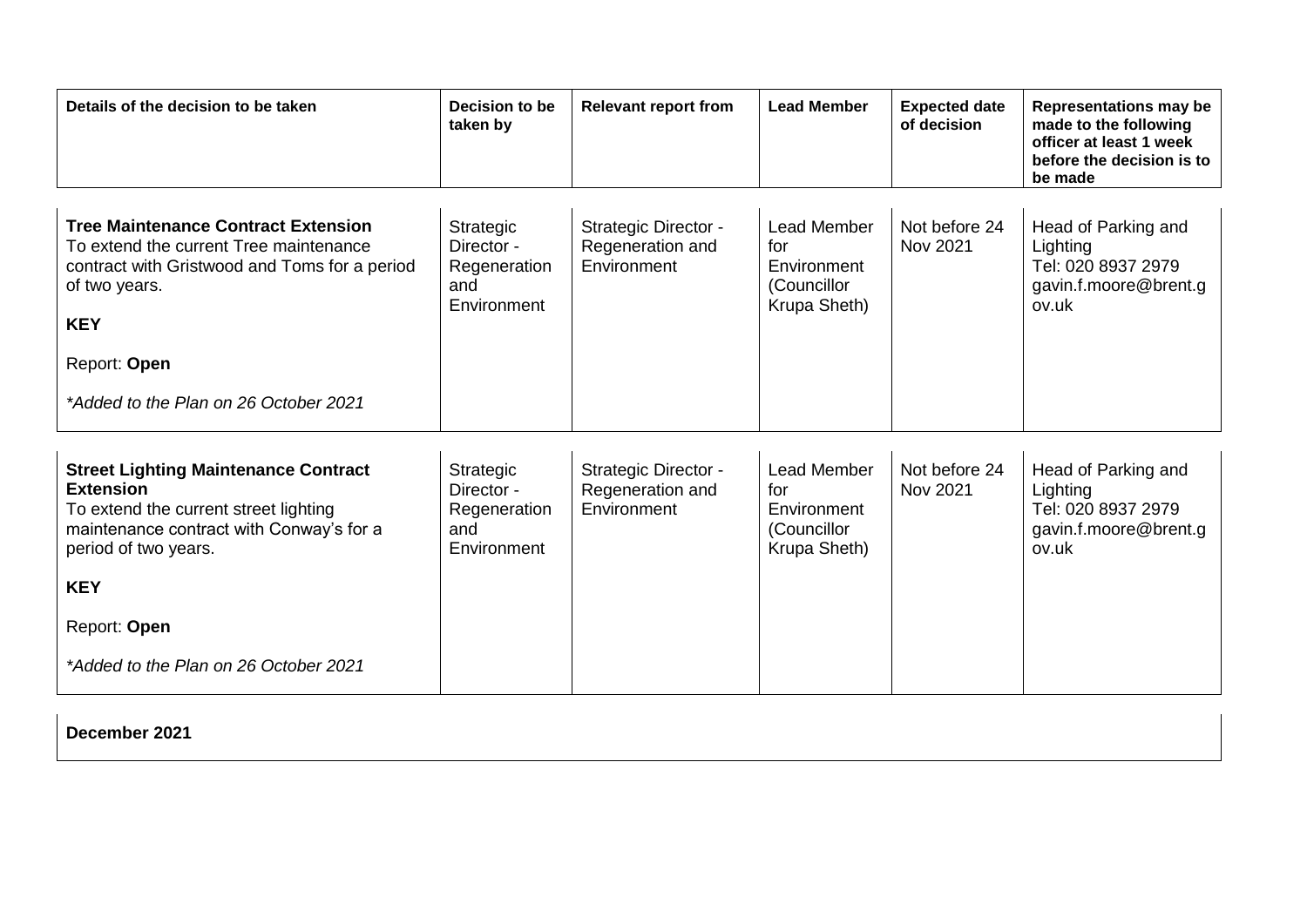| Details of the decision to be taken                                                                                                                                                                                                                 | Decision to be<br>taken by                                    | <b>Relevant report from</b>                                    | <b>Lead Member</b>                                                      | <b>Expected date</b><br>of decision | <b>Representations may be</b><br>made to the following<br>officer at least 1 week<br>before the decision is to<br>be made |
|-----------------------------------------------------------------------------------------------------------------------------------------------------------------------------------------------------------------------------------------------------|---------------------------------------------------------------|----------------------------------------------------------------|-------------------------------------------------------------------------|-------------------------------------|---------------------------------------------------------------------------------------------------------------------------|
| <b>Tree Maintenance Contract Extension</b><br>To extend the current Tree maintenance<br>contract with Gristwood and Toms for a period<br>of two years.<br><b>KEY</b><br>Report: Open<br>*Added to the Plan on 26 October 2021                       | Strategic<br>Director -<br>Regeneration<br>and<br>Environment | <b>Strategic Director -</b><br>Regeneration and<br>Environment | <b>Lead Member</b><br>for<br>Environment<br>(Councillor<br>Krupa Sheth) | Not before 24<br>Nov 2021           | Head of Parking and<br>Lighting<br>Tel: 020 8937 2979<br>gavin.f.moore@brent.g<br>ov.uk                                   |
| <b>Street Lighting Maintenance Contract</b><br><b>Extension</b><br>To extend the current street lighting<br>maintenance contract with Conway's for a<br>period of two years.<br><b>KEY</b><br>Report: Open<br>*Added to the Plan on 26 October 2021 | Strategic<br>Director -<br>Regeneration<br>and<br>Environment | Strategic Director -<br>Regeneration and<br>Environment        | Lead Member<br>for<br>Environment<br>(Councillor<br>Krupa Sheth)        | Not before 24<br>Nov 2021           | Head of Parking and<br>Lighting<br>Tel: 020 8937 2979<br>gavin.f.moore@brent.g<br>ov.uk                                   |

**December 2021**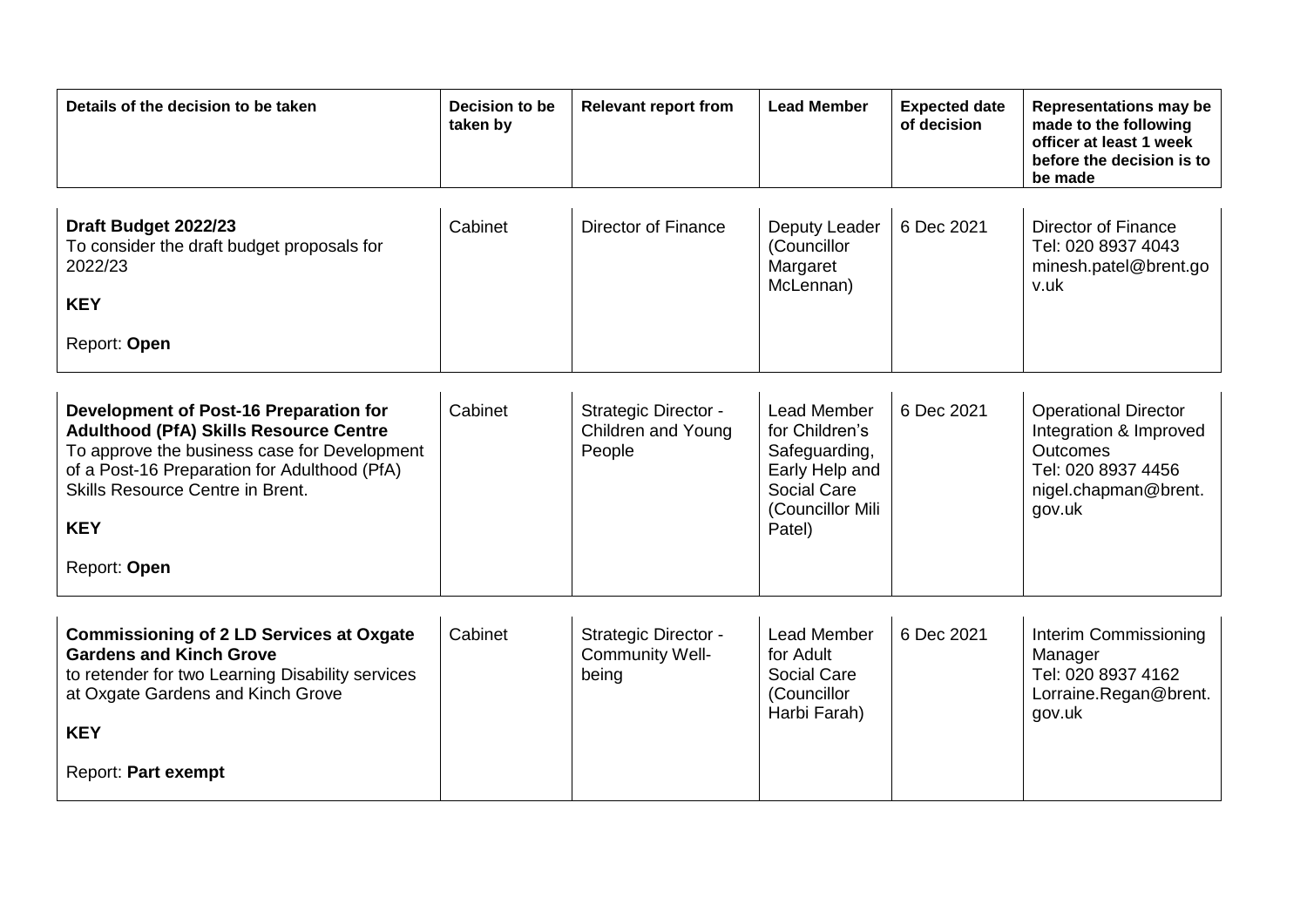| Details of the decision to be taken                                                                                                                                                                                                                       | Decision to be<br>taken by | <b>Relevant report from</b>                          | <b>Lead Member</b>                                                                                                          | <b>Expected date</b><br>of decision | <b>Representations may be</b><br>made to the following<br>officer at least 1 week                                                |
|-----------------------------------------------------------------------------------------------------------------------------------------------------------------------------------------------------------------------------------------------------------|----------------------------|------------------------------------------------------|-----------------------------------------------------------------------------------------------------------------------------|-------------------------------------|----------------------------------------------------------------------------------------------------------------------------------|
|                                                                                                                                                                                                                                                           |                            |                                                      |                                                                                                                             |                                     | before the decision is to<br>be made                                                                                             |
| Draft Budget 2022/23<br>To consider the draft budget proposals for<br>2022/23<br><b>KEY</b><br>Report: Open                                                                                                                                               | Cabinet                    | <b>Director of Finance</b>                           | Deputy Leader<br>(Councillor<br>Margaret<br>McLennan)                                                                       | 6 Dec 2021                          | <b>Director of Finance</b><br>Tel: 020 8937 4043<br>minesh.patel@brent.go<br>v.uk                                                |
| Development of Post-16 Preparation for<br><b>Adulthood (PfA) Skills Resource Centre</b><br>To approve the business case for Development<br>of a Post-16 Preparation for Adulthood (PfA)<br>Skills Resource Centre in Brent.<br><b>KEY</b><br>Report: Open | Cabinet                    | Strategic Director -<br>Children and Young<br>People | <b>Lead Member</b><br>for Children's<br>Safeguarding,<br>Early Help and<br><b>Social Care</b><br>(Councillor Mili<br>Patel) | 6 Dec 2021                          | <b>Operational Director</b><br>Integration & Improved<br><b>Outcomes</b><br>Tel: 020 8937 4456<br>nigel.chapman@brent.<br>gov.uk |
| <b>Commissioning of 2 LD Services at Oxgate</b><br><b>Gardens and Kinch Grove</b><br>to retender for two Learning Disability services<br>at Oxgate Gardens and Kinch Grove<br><b>KEY</b><br>Report: Part exempt                                           | Cabinet                    | Strategic Director -<br>Community Well-<br>being     | Lead Member<br>for Adult<br>Social Care<br>(Councillor<br>Harbi Farah)                                                      | 6 Dec 2021                          | Interim Commissioning<br>Manager<br>Tel: 020 8937 4162<br>Lorraine.Regan@brent.<br>gov.uk                                        |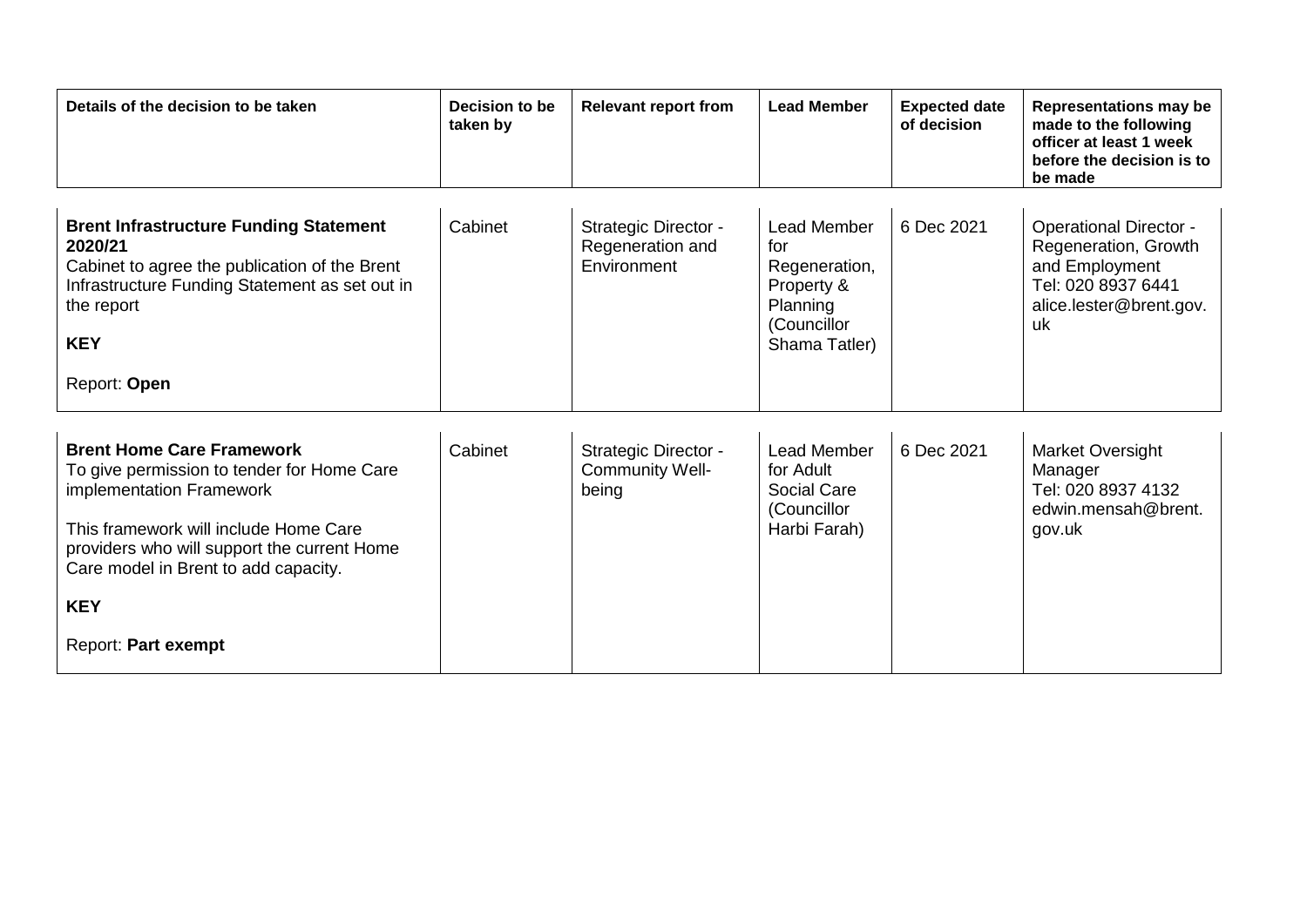| Details of the decision to be taken                                                                                                                                                                                                        | Decision to be<br>taken by | <b>Relevant report from</b>                                    | <b>Lead Member</b>                                                                                   | <b>Expected date</b><br>of decision | <b>Representations may be</b><br>made to the following<br>officer at least 1 week<br>before the decision is to<br>be made      |
|--------------------------------------------------------------------------------------------------------------------------------------------------------------------------------------------------------------------------------------------|----------------------------|----------------------------------------------------------------|------------------------------------------------------------------------------------------------------|-------------------------------------|--------------------------------------------------------------------------------------------------------------------------------|
| <b>Brent Infrastructure Funding Statement</b><br>2020/21<br>Cabinet to agree the publication of the Brent<br>Infrastructure Funding Statement as set out in<br>the report<br><b>KEY</b><br>Report: Open                                    | Cabinet                    | <b>Strategic Director -</b><br>Regeneration and<br>Environment | <b>Lead Member</b><br>for<br>Regeneration,<br>Property &<br>Planning<br>(Councillor<br>Shama Tatler) | 6 Dec 2021                          | <b>Operational Director -</b><br>Regeneration, Growth<br>and Employment<br>Tel: 020 8937 6441<br>alice.lester@brent.gov.<br>uk |
|                                                                                                                                                                                                                                            |                            |                                                                |                                                                                                      |                                     |                                                                                                                                |
| <b>Brent Home Care Framework</b><br>To give permission to tender for Home Care<br>implementation Framework<br>This framework will include Home Care<br>providers who will support the current Home<br>Care model in Brent to add capacity. | Cabinet                    | <b>Strategic Director -</b><br><b>Community Well-</b><br>being | <b>Lead Member</b><br>for Adult<br>Social Care<br>(Councillor<br>Harbi Farah)                        | 6 Dec 2021                          | Market Oversight<br>Manager<br>Tel: 020 8937 4132<br>edwin.mensah@brent.<br>gov.uk                                             |
| <b>KEY</b>                                                                                                                                                                                                                                 |                            |                                                                |                                                                                                      |                                     |                                                                                                                                |
| Report: Part exempt                                                                                                                                                                                                                        |                            |                                                                |                                                                                                      |                                     |                                                                                                                                |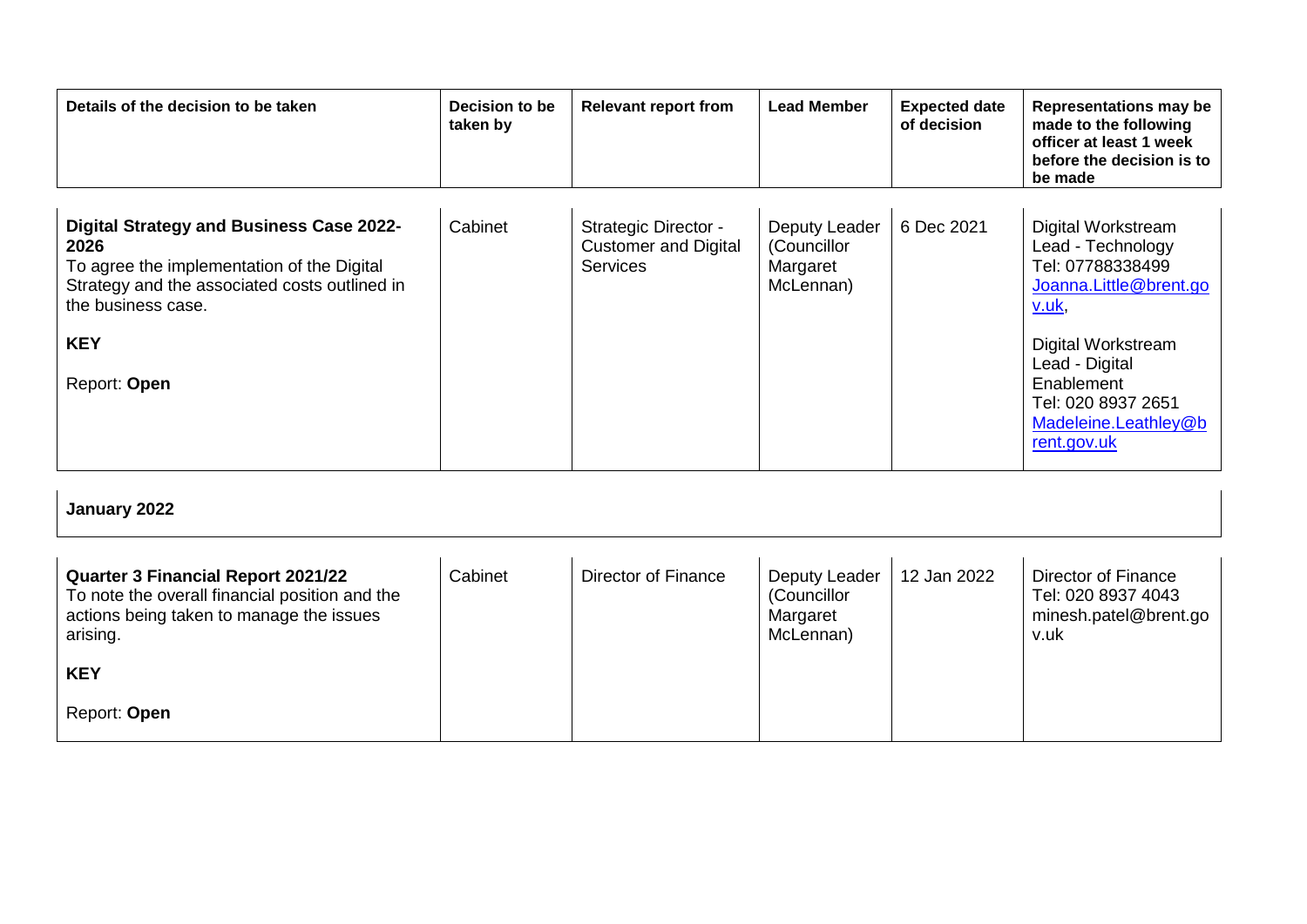| Details of the decision to be taken                                                                                                                                                                        | Decision to be<br>taken by | <b>Relevant report from</b>                                                   | <b>Lead Member</b>                                    | <b>Expected date</b><br>of decision | <b>Representations may be</b><br>made to the following<br>officer at least 1 week<br>before the decision is to<br>be made                                                                                         |
|------------------------------------------------------------------------------------------------------------------------------------------------------------------------------------------------------------|----------------------------|-------------------------------------------------------------------------------|-------------------------------------------------------|-------------------------------------|-------------------------------------------------------------------------------------------------------------------------------------------------------------------------------------------------------------------|
| <b>Digital Strategy and Business Case 2022-</b><br>2026<br>To agree the implementation of the Digital<br>Strategy and the associated costs outlined in<br>the business case.<br><b>KEY</b><br>Report: Open | Cabinet                    | <b>Strategic Director -</b><br><b>Customer and Digital</b><br><b>Services</b> | Deputy Leader<br>(Councillor<br>Margaret<br>McLennan) | 6 Dec 2021                          | Digital Workstream<br>Lead - Technology<br>Tel: 07788338499<br>Joanna.Little@brent.go<br>v.uk,<br>Digital Workstream<br>Lead - Digital<br>Enablement<br>Tel: 020 8937 2651<br>Madeleine.Leathley@b<br>rent.gov.uk |

## **January 2022**

| <b>Quarter 3 Financial Report 2021/22</b><br>To note the overall financial position and the<br>actions being taken to manage the issues<br>arising. | Cabinet | Director of Finance | Deputy Leader<br>(Councillor<br>Margaret<br>McLennan) | 12 Jan 2022 | Director of Finance<br>Tel: 020 8937 4043<br>minesh.patel@brent.go<br>v.uk |
|-----------------------------------------------------------------------------------------------------------------------------------------------------|---------|---------------------|-------------------------------------------------------|-------------|----------------------------------------------------------------------------|
| <b>KEY</b>                                                                                                                                          |         |                     |                                                       |             |                                                                            |
| Report: Open                                                                                                                                        |         |                     |                                                       |             |                                                                            |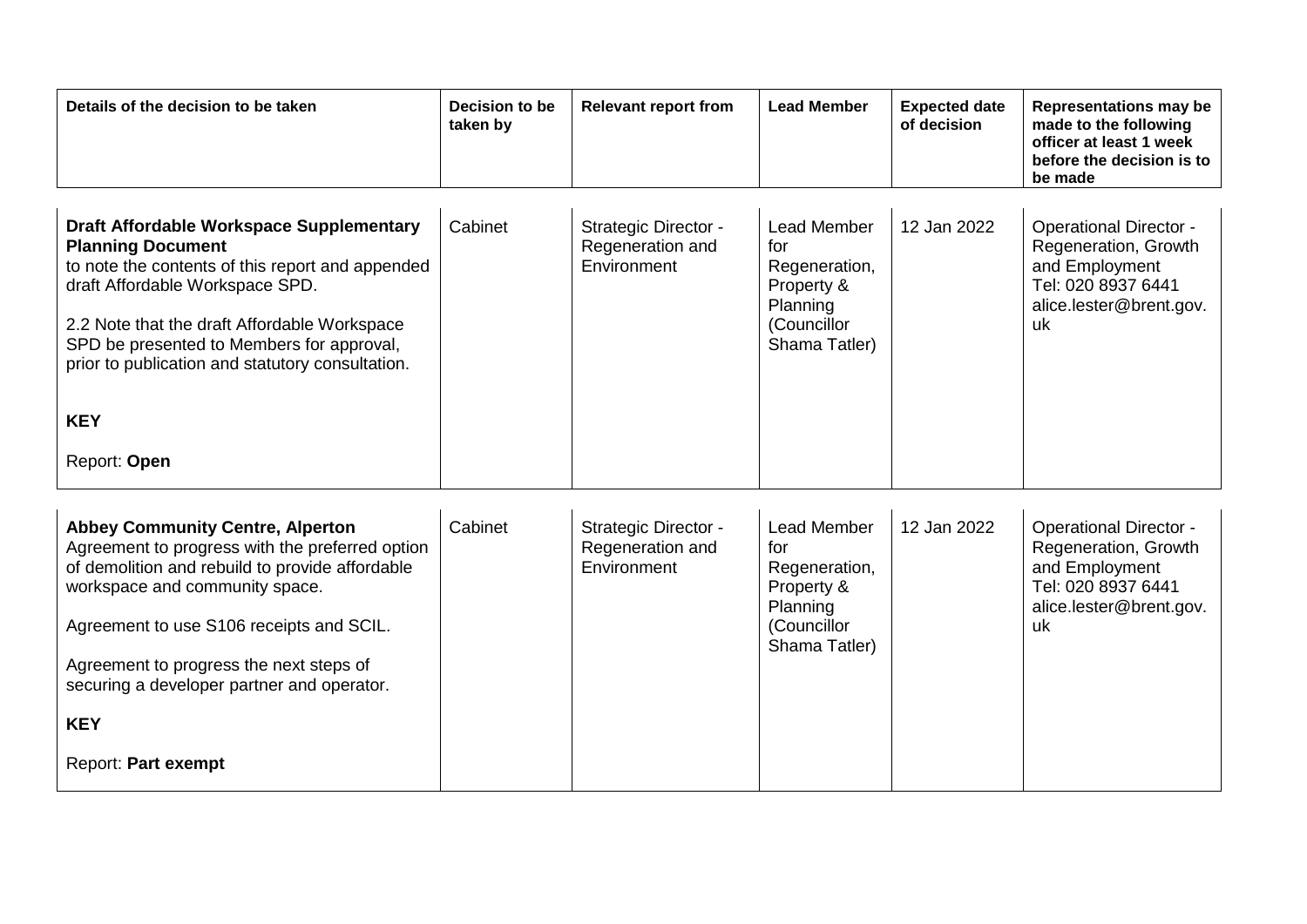| Details of the decision to be taken                                                                                                                                                                                                                                                                                                                       | Decision to be<br>taken by | <b>Relevant report from</b>                                    | <b>Lead Member</b>                                                                                   | <b>Expected date</b><br>of decision | <b>Representations may be</b><br>made to the following<br>officer at least 1 week<br>before the decision is to<br>be made      |
|-----------------------------------------------------------------------------------------------------------------------------------------------------------------------------------------------------------------------------------------------------------------------------------------------------------------------------------------------------------|----------------------------|----------------------------------------------------------------|------------------------------------------------------------------------------------------------------|-------------------------------------|--------------------------------------------------------------------------------------------------------------------------------|
| <b>Draft Affordable Workspace Supplementary</b><br><b>Planning Document</b><br>to note the contents of this report and appended<br>draft Affordable Workspace SPD.<br>2.2 Note that the draft Affordable Workspace<br>SPD be presented to Members for approval,<br>prior to publication and statutory consultation.<br><b>KEY</b><br>Report: Open         | Cabinet                    | <b>Strategic Director -</b><br>Regeneration and<br>Environment | <b>Lead Member</b><br>for<br>Regeneration,<br>Property &<br>Planning<br>(Councillor<br>Shama Tatler) | 12 Jan 2022                         | <b>Operational Director -</b><br>Regeneration, Growth<br>and Employment<br>Tel: 020 8937 6441<br>alice.lester@brent.gov.<br>uk |
| <b>Abbey Community Centre, Alperton</b><br>Agreement to progress with the preferred option<br>of demolition and rebuild to provide affordable<br>workspace and community space.<br>Agreement to use S106 receipts and SCIL.<br>Agreement to progress the next steps of<br>securing a developer partner and operator.<br><b>KEY</b><br>Report: Part exempt | Cabinet                    | <b>Strategic Director -</b><br>Regeneration and<br>Environment | <b>Lead Member</b><br>for<br>Regeneration,<br>Property &<br>Planning<br>(Councillor<br>Shama Tatler) | 12 Jan 2022                         | <b>Operational Director -</b><br>Regeneration, Growth<br>and Employment<br>Tel: 020 8937 6441<br>alice.lester@brent.gov.<br>uk |